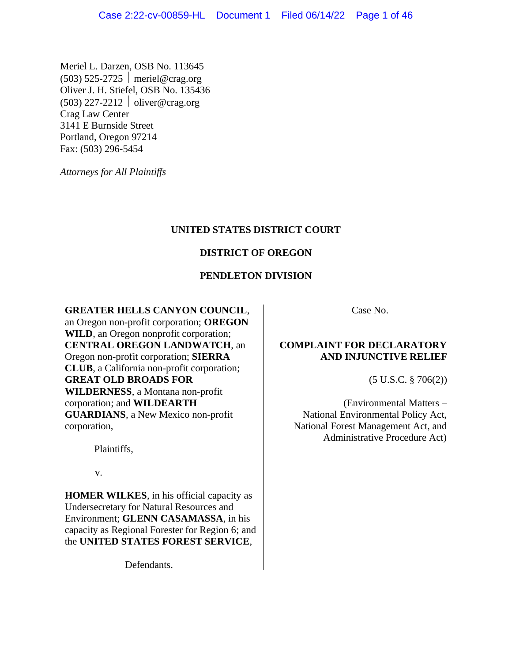Meriel L. Darzen, OSB No. 113645  $(503)$  525-2725 | meriel@crag.org Oliver J. H. Stiefel, OSB No. 135436  $(503)$  227-2212 | oliver@crag.org Crag Law Center 3141 E Burnside Street Portland, Oregon 97214 Fax: (503) 296-5454

*Attorneys for All Plaintiffs* 

# **UNITED STATES DISTRICT COURT**

# **DISTRICT OF OREGON**

# **PENDLETON DIVISION**

**GREATER HELLS CANYON COUNCIL**,

an Oregon non-profit corporation; **OREGON WILD**, an Oregon nonprofit corporation; **CENTRAL OREGON LANDWATCH**, an Oregon non-profit corporation; **SIERRA CLUB**, a California non-profit corporation; **GREAT OLD BROADS FOR WILDERNESS**, a Montana non-profit corporation; and **WILDEARTH GUARDIANS**, a New Mexico non-profit corporation,

Plaintiffs,

v.

**HOMER WILKES**, in his official capacity as Undersecretary for Natural Resources and Environment; **GLENN CASAMASSA**, in his capacity as Regional Forester for Region 6; and the **UNITED STATES FOREST SERVICE**,

Defendants.

Case No.

# **COMPLAINT FOR DECLARATORY AND INJUNCTIVE RELIEF**

(5 U.S.C. § 706(2))

(Environmental Matters – National Environmental Policy Act, National Forest Management Act, and Administrative Procedure Act)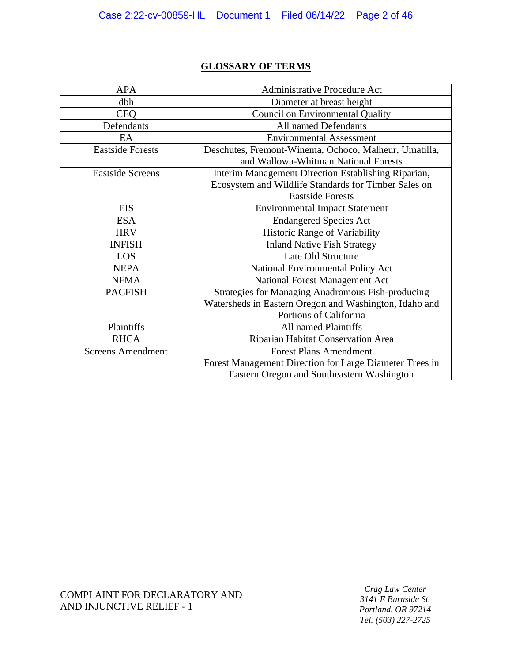# **GLOSSARY OF TERMS**

| <b>APA</b>               | Administrative Procedure Act                             |
|--------------------------|----------------------------------------------------------|
| dbh                      | Diameter at breast height                                |
| <b>CEQ</b>               | <b>Council on Environmental Quality</b>                  |
| Defendants               | All named Defendants                                     |
| EA                       | <b>Environmental Assessment</b>                          |
| <b>Eastside Forests</b>  | Deschutes, Fremont-Winema, Ochoco, Malheur, Umatilla,    |
|                          | and Wallowa-Whitman National Forests                     |
| <b>Eastside Screens</b>  | Interim Management Direction Establishing Riparian,      |
|                          | Ecosystem and Wildlife Standards for Timber Sales on     |
|                          | <b>Eastside Forests</b>                                  |
| <b>EIS</b>               | <b>Environmental Impact Statement</b>                    |
| <b>ESA</b>               | <b>Endangered Species Act</b>                            |
| <b>HRV</b>               | <b>Historic Range of Variability</b>                     |
| <b>INFISH</b>            | <b>Inland Native Fish Strategy</b>                       |
| <b>LOS</b>               | Late Old Structure                                       |
| <b>NEPA</b>              | National Environmental Policy Act                        |
| <b>NFMA</b>              | National Forest Management Act                           |
| <b>PACFISH</b>           | <b>Strategies for Managing Anadromous Fish-producing</b> |
|                          | Watersheds in Eastern Oregon and Washington, Idaho and   |
|                          | Portions of California                                   |
| Plaintiffs               | All named Plaintiffs                                     |
| <b>RHCA</b>              | Riparian Habitat Conservation Area                       |
| <b>Screens Amendment</b> | <b>Forest Plans Amendment</b>                            |
|                          | Forest Management Direction for Large Diameter Trees in  |
|                          | Eastern Oregon and Southeastern Washington               |

COMPLAINT FOR DECLARATORY AND AND INJUNCTIVE RELIEF - 1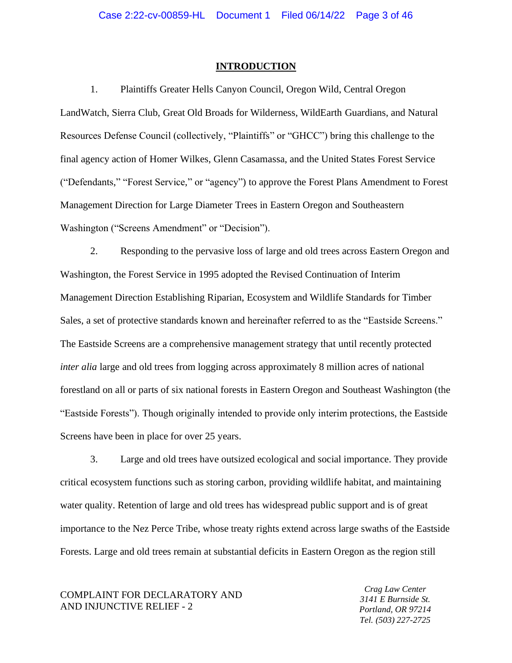#### **INTRODUCTION**

1. Plaintiffs Greater Hells Canyon Council, Oregon Wild, Central Oregon LandWatch, Sierra Club, Great Old Broads for Wilderness, WildEarth Guardians, and Natural Resources Defense Council (collectively, "Plaintiffs" or "GHCC") bring this challenge to the final agency action of Homer Wilkes, Glenn Casamassa, and the United States Forest Service ("Defendants," "Forest Service," or "agency") to approve the Forest Plans Amendment to Forest Management Direction for Large Diameter Trees in Eastern Oregon and Southeastern Washington ("Screens Amendment" or "Decision").

2. Responding to the pervasive loss of large and old trees across Eastern Oregon and Washington, the Forest Service in 1995 adopted the Revised Continuation of Interim Management Direction Establishing Riparian, Ecosystem and Wildlife Standards for Timber Sales, a set of protective standards known and hereinafter referred to as the "Eastside Screens." The Eastside Screens are a comprehensive management strategy that until recently protected *inter alia* large and old trees from logging across approximately 8 million acres of national forestland on all or parts of six national forests in Eastern Oregon and Southeast Washington (the "Eastside Forests"). Though originally intended to provide only interim protections, the Eastside Screens have been in place for over 25 years.

3. Large and old trees have outsized ecological and social importance. They provide critical ecosystem functions such as storing carbon, providing wildlife habitat, and maintaining water quality. Retention of large and old trees has widespread public support and is of great importance to the Nez Perce Tribe, whose treaty rights extend across large swaths of the Eastside Forests. Large and old trees remain at substantial deficits in Eastern Oregon as the region still

COMPLAINT FOR DECLARATORY AND AND INJUNCTIVE RELIEF - 2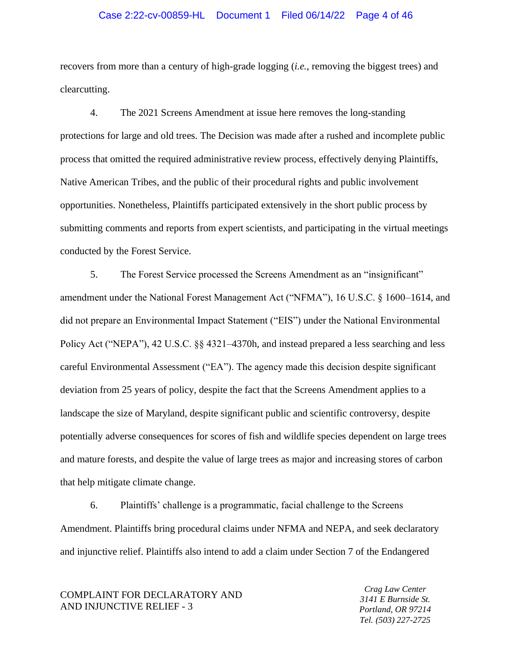## Case 2:22-cv-00859-HL Document 1 Filed 06/14/22 Page 4 of 46

recovers from more than a century of high-grade logging (*i.e.*, removing the biggest trees) and clearcutting.

4. The 2021 Screens Amendment at issue here removes the long-standing protections for large and old trees. The Decision was made after a rushed and incomplete public process that omitted the required administrative review process, effectively denying Plaintiffs, Native American Tribes, and the public of their procedural rights and public involvement opportunities. Nonetheless, Plaintiffs participated extensively in the short public process by submitting comments and reports from expert scientists, and participating in the virtual meetings conducted by the Forest Service.

5. The Forest Service processed the Screens Amendment as an "insignificant" amendment under the National Forest Management Act ("NFMA"), 16 U.S.C. § 1600–1614, and did not prepare an Environmental Impact Statement ("EIS") under the National Environmental Policy Act ("NEPA"), 42 U.S.C. §§ 4321–4370h, and instead prepared a less searching and less careful Environmental Assessment ("EA"). The agency made this decision despite significant deviation from 25 years of policy, despite the fact that the Screens Amendment applies to a landscape the size of Maryland, despite significant public and scientific controversy, despite potentially adverse consequences for scores of fish and wildlife species dependent on large trees and mature forests, and despite the value of large trees as major and increasing stores of carbon that help mitigate climate change.

6. Plaintiffs' challenge is a programmatic, facial challenge to the Screens Amendment. Plaintiffs bring procedural claims under NFMA and NEPA, and seek declaratory and injunctive relief. Plaintiffs also intend to add a claim under Section 7 of the Endangered

COMPLAINT FOR DECLARATORY AND AND INJUNCTIVE RELIEF - 3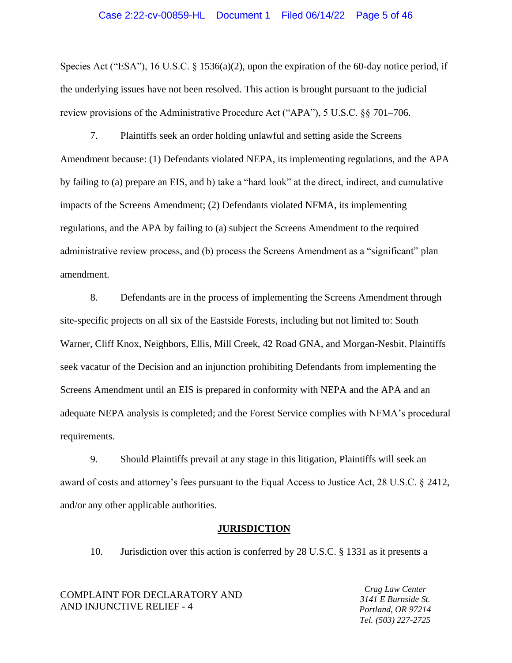Species Act ("ESA"), 16 U.S.C. § 1536(a)(2), upon the expiration of the 60-day notice period, if the underlying issues have not been resolved. This action is brought pursuant to the judicial review provisions of the Administrative Procedure Act ("APA"), 5 U.S.C. §§ 701–706.

7. Plaintiffs seek an order holding unlawful and setting aside the Screens Amendment because: (1) Defendants violated NEPA, its implementing regulations, and the APA by failing to (a) prepare an EIS, and b) take a "hard look" at the direct, indirect, and cumulative impacts of the Screens Amendment; (2) Defendants violated NFMA, its implementing regulations, and the APA by failing to (a) subject the Screens Amendment to the required administrative review process, and (b) process the Screens Amendment as a "significant" plan amendment.

8. Defendants are in the process of implementing the Screens Amendment through site-specific projects on all six of the Eastside Forests, including but not limited to: South Warner, Cliff Knox, Neighbors, Ellis, Mill Creek, 42 Road GNA, and Morgan-Nesbit. Plaintiffs seek vacatur of the Decision and an injunction prohibiting Defendants from implementing the Screens Amendment until an EIS is prepared in conformity with NEPA and the APA and an adequate NEPA analysis is completed; and the Forest Service complies with NFMA's procedural requirements.

9. Should Plaintiffs prevail at any stage in this litigation, Plaintiffs will seek an award of costs and attorney's fees pursuant to the Equal Access to Justice Act, 28 U.S.C. § 2412, and/or any other applicable authorities.

#### **JURISDICTION**

10. Jurisdiction over this action is conferred by 28 U.S.C. § 1331 as it presents a

COMPLAINT FOR DECLARATORY AND AND INJUNCTIVE RELIEF - 4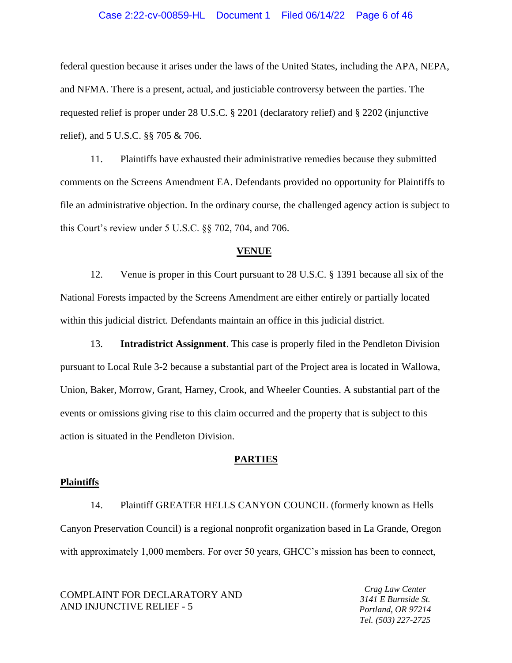## Case 2:22-cv-00859-HL Document 1 Filed 06/14/22 Page 6 of 46

federal question because it arises under the laws of the United States, including the APA, NEPA, and NFMA. There is a present, actual, and justiciable controversy between the parties. The requested relief is proper under 28 U.S.C. § 2201 (declaratory relief) and § 2202 (injunctive relief), and 5 U.S.C. §§ 705 & 706.

11. Plaintiffs have exhausted their administrative remedies because they submitted comments on the Screens Amendment EA. Defendants provided no opportunity for Plaintiffs to file an administrative objection. In the ordinary course, the challenged agency action is subject to this Court's review under 5 U.S.C. §§ 702, 704, and 706.

## **VENUE**

12. Venue is proper in this Court pursuant to 28 U.S.C. § 1391 because all six of the National Forests impacted by the Screens Amendment are either entirely or partially located within this judicial district. Defendants maintain an office in this judicial district.

13. **Intradistrict Assignment**. This case is properly filed in the Pendleton Division pursuant to Local Rule 3-2 because a substantial part of the Project area is located in Wallowa, Union, Baker, Morrow, Grant, Harney, Crook, and Wheeler Counties. A substantial part of the events or omissions giving rise to this claim occurred and the property that is subject to this action is situated in the Pendleton Division.

#### **PARTIES**

#### **Plaintiffs**

14. Plaintiff GREATER HELLS CANYON COUNCIL (formerly known as Hells Canyon Preservation Council) is a regional nonprofit organization based in La Grande, Oregon with approximately 1,000 members. For over 50 years, GHCC's mission has been to connect,

COMPLAINT FOR DECLARATORY AND AND INJUNCTIVE RELIEF - 5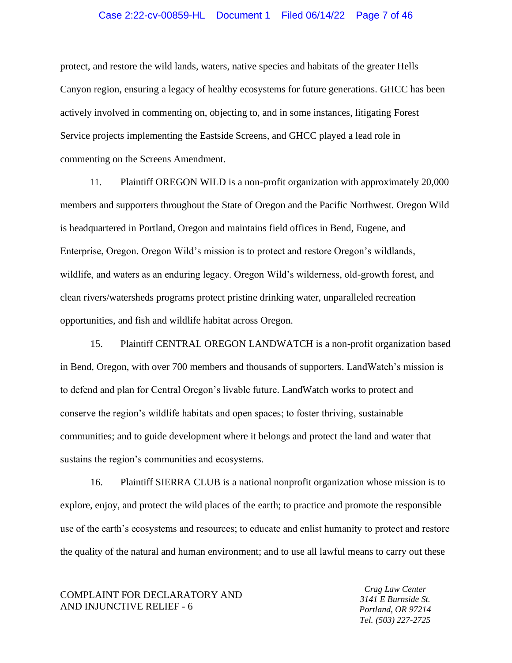## Case 2:22-cv-00859-HL Document 1 Filed 06/14/22 Page 7 of 46

protect, and restore the wild lands, waters, native species and habitats of the greater Hells Canyon region, ensuring a legacy of healthy ecosystems for future generations. GHCC has been actively involved in commenting on, objecting to, and in some instances, litigating Forest Service projects implementing the Eastside Screens, and GHCC played a lead role in commenting on the Screens Amendment.

11. Plaintiff OREGON WILD is a non-profit organization with approximately 20,000 members and supporters throughout the State of Oregon and the Pacific Northwest. Oregon Wild is headquartered in Portland, Oregon and maintains field offices in Bend, Eugene, and Enterprise, Oregon. Oregon Wild's mission is to protect and restore Oregon's wildlands, wildlife, and waters as an enduring legacy. Oregon Wild's wilderness, old-growth forest, and clean rivers/watersheds programs protect pristine drinking water, unparalleled recreation opportunities, and fish and wildlife habitat across Oregon.

15. Plaintiff CENTRAL OREGON LANDWATCH is a non-profit organization based in Bend, Oregon, with over 700 members and thousands of supporters. LandWatch's mission is to defend and plan for Central Oregon's livable future. LandWatch works to protect and conserve the region's wildlife habitats and open spaces; to foster thriving, sustainable communities; and to guide development where it belongs and protect the land and water that sustains the region's communities and ecosystems.

16. Plaintiff SIERRA CLUB is a national nonprofit organization whose mission is to explore, enjoy, and protect the wild places of the earth; to practice and promote the responsible use of the earth's ecosystems and resources; to educate and enlist humanity to protect and restore the quality of the natural and human environment; and to use all lawful means to carry out these

COMPLAINT FOR DECLARATORY AND AND INJUNCTIVE RELIEF - 6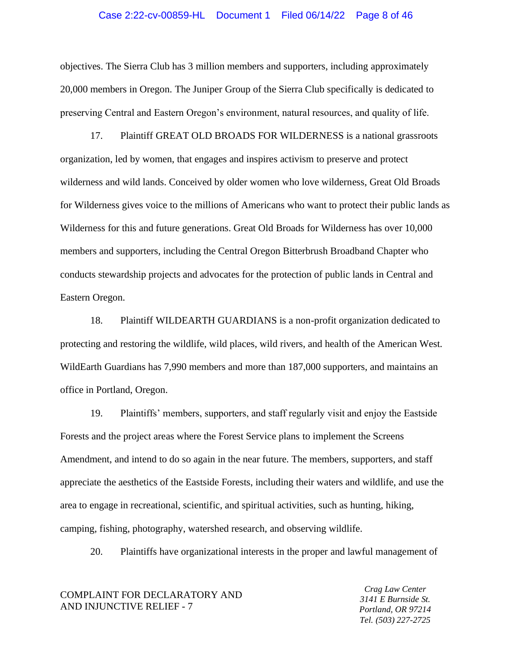### Case 2:22-cv-00859-HL Document 1 Filed 06/14/22 Page 8 of 46

objectives. The Sierra Club has 3 million members and supporters, including approximately 20,000 members in Oregon. The Juniper Group of the Sierra Club specifically is dedicated to preserving Central and Eastern Oregon's environment, natural resources, and quality of life.

17. Plaintiff GREAT OLD BROADS FOR WILDERNESS is a national grassroots organization, led by women, that engages and inspires activism to preserve and protect wilderness and wild lands. Conceived by older women who love wilderness, Great Old Broads for Wilderness gives voice to the millions of Americans who want to protect their public lands as Wilderness for this and future generations. Great Old Broads for Wilderness has over 10,000 members and supporters, including the Central Oregon Bitterbrush Broadband Chapter who conducts stewardship projects and advocates for the protection of public lands in Central and Eastern Oregon.

18. Plaintiff WILDEARTH GUARDIANS is a non-profit organization dedicated to protecting and restoring the wildlife, wild places, wild rivers, and health of the American West. WildEarth Guardians has 7,990 members and more than 187,000 supporters, and maintains an office in Portland, Oregon.

19. Plaintiffs' members, supporters, and staff regularly visit and enjoy the Eastside Forests and the project areas where the Forest Service plans to implement the Screens Amendment, and intend to do so again in the near future. The members, supporters, and staff appreciate the aesthetics of the Eastside Forests, including their waters and wildlife, and use the area to engage in recreational, scientific, and spiritual activities, such as hunting, hiking, camping, fishing, photography, watershed research, and observing wildlife.

20. Plaintiffs have organizational interests in the proper and lawful management of

## COMPLAINT FOR DECLARATORY AND AND INJUNCTIVE RELIEF - 7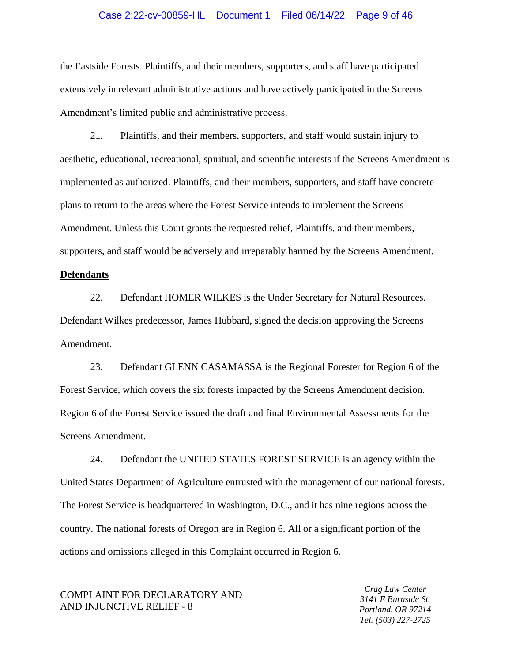## Case 2:22-cv-00859-HL Document 1 Filed 06/14/22 Page 9 of 46

the Eastside Forests. Plaintiffs, and their members, supporters, and staff have participated extensively in relevant administrative actions and have actively participated in the Screens Amendment's limited public and administrative process.

21. Plaintiffs, and their members, supporters, and staff would sustain injury to aesthetic, educational, recreational, spiritual, and scientific interests if the Screens Amendment is implemented as authorized. Plaintiffs, and their members, supporters, and staff have concrete plans to return to the areas where the Forest Service intends to implement the Screens Amendment. Unless this Court grants the requested relief, Plaintiffs, and their members, supporters, and staff would be adversely and irreparably harmed by the Screens Amendment.

#### **Defendants**

22. Defendant HOMER WILKES is the Under Secretary for Natural Resources. Defendant Wilkes predecessor, James Hubbard, signed the decision approving the Screens Amendment.

23. Defendant GLENN CASAMASSA is the Regional Forester for Region 6 of the Forest Service, which covers the six forests impacted by the Screens Amendment decision. Region 6 of the Forest Service issued the draft and final Environmental Assessments for the Screens Amendment.

24. Defendant the UNITED STATES FOREST SERVICE is an agency within the United States Department of Agriculture entrusted with the management of our national forests. The Forest Service is headquartered in Washington, D.C., and it has nine regions across the country. The national forests of Oregon are in Region 6. All or a significant portion of the actions and omissions alleged in this Complaint occurred in Region 6.

## COMPLAINT FOR DECLARATORY AND AND INJUNCTIVE RELIEF - 8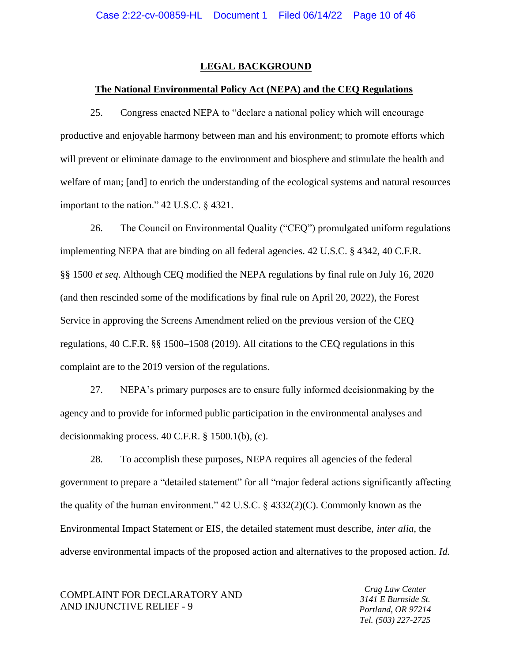## **LEGAL BACKGROUND**

## **The National Environmental Policy Act (NEPA) and the CEQ Regulations**

25. Congress enacted NEPA to "declare a national policy which will encourage productive and enjoyable harmony between man and his environment; to promote efforts which will prevent or eliminate damage to the environment and biosphere and stimulate the health and welfare of man; [and] to enrich the understanding of the ecological systems and natural resources important to the nation." 42 U.S.C. § 4321.

26. The Council on Environmental Quality ("CEQ") promulgated uniform regulations implementing NEPA that are binding on all federal agencies. 42 U.S.C. § 4342, 40 C.F.R. §§ 1500 *et seq*. Although CEQ modified the NEPA regulations by final rule on July 16, 2020 (and then rescinded some of the modifications by final rule on April 20, 2022), the Forest Service in approving the Screens Amendment relied on the previous version of the CEQ regulations, 40 C.F.R. §§ 1500–1508 (2019). All citations to the CEQ regulations in this complaint are to the 2019 version of the regulations.

27. NEPA's primary purposes are to ensure fully informed decisionmaking by the agency and to provide for informed public participation in the environmental analyses and decisionmaking process. 40 C.F.R. § 1500.1(b), (c).

28. To accomplish these purposes, NEPA requires all agencies of the federal government to prepare a "detailed statement" for all "major federal actions significantly affecting the quality of the human environment."  $42 \text{ U.S.C.}$  §  $4332(2)(C)$ . Commonly known as the Environmental Impact Statement or EIS, the detailed statement must describe, *inter alia*, the adverse environmental impacts of the proposed action and alternatives to the proposed action. *Id.*

COMPLAINT FOR DECLARATORY AND AND INJUNCTIVE RELIEF - 9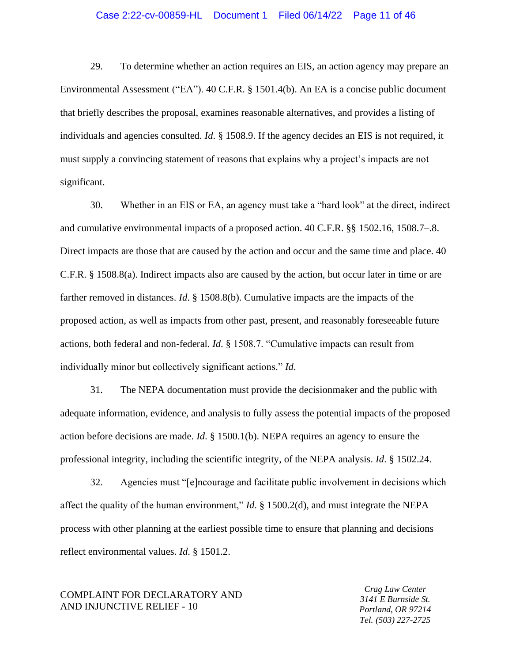## Case 2:22-cv-00859-HL Document 1 Filed 06/14/22 Page 11 of 46

29. To determine whether an action requires an EIS, an action agency may prepare an Environmental Assessment ("EA"). 40 C.F.R. § 1501.4(b). An EA is a concise public document that briefly describes the proposal, examines reasonable alternatives, and provides a listing of individuals and agencies consulted. *Id*. § 1508.9. If the agency decides an EIS is not required, it must supply a convincing statement of reasons that explains why a project's impacts are not significant.

30. Whether in an EIS or EA, an agency must take a "hard look" at the direct, indirect and cumulative environmental impacts of a proposed action. 40 C.F.R. §§ 1502.16, 1508.7–.8. Direct impacts are those that are caused by the action and occur and the same time and place. 40 C.F.R. § 1508.8(a). Indirect impacts also are caused by the action, but occur later in time or are farther removed in distances. *Id*. § 1508.8(b). Cumulative impacts are the impacts of the proposed action, as well as impacts from other past, present, and reasonably foreseeable future actions, both federal and non-federal. *Id*. § 1508.7. "Cumulative impacts can result from individually minor but collectively significant actions." *Id*.

31. The NEPA documentation must provide the decisionmaker and the public with adequate information, evidence, and analysis to fully assess the potential impacts of the proposed action before decisions are made. *Id*. § 1500.1(b). NEPA requires an agency to ensure the professional integrity, including the scientific integrity, of the NEPA analysis. *Id*. § 1502.24.

32. Agencies must "[e]ncourage and facilitate public involvement in decisions which affect the quality of the human environment," *Id*. § 1500.2(d), and must integrate the NEPA process with other planning at the earliest possible time to ensure that planning and decisions reflect environmental values. *Id*. § 1501.2.

## COMPLAINT FOR DECLARATORY AND AND INJUNCTIVE RELIEF - 10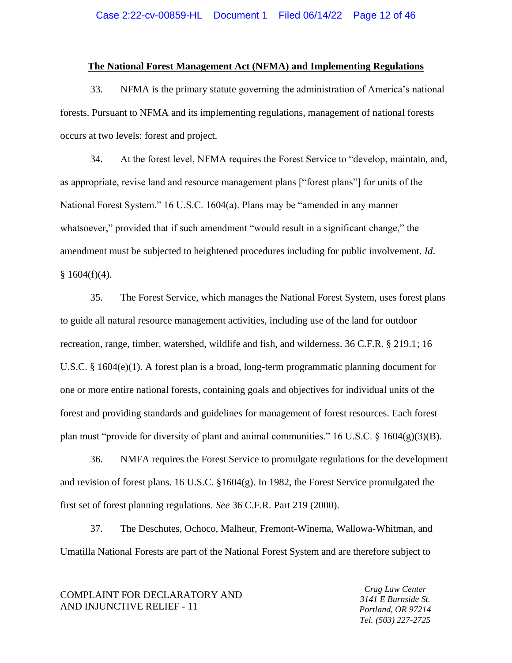### **The National Forest Management Act (NFMA) and Implementing Regulations**

33. NFMA is the primary statute governing the administration of America's national forests. Pursuant to NFMA and its implementing regulations, management of national forests occurs at two levels: forest and project.

34. At the forest level, NFMA requires the Forest Service to "develop, maintain, and, as appropriate, revise land and resource management plans ["forest plans"] for units of the National Forest System." 16 U.S.C. 1604(a). Plans may be "amended in any manner whatsoever," provided that if such amendment "would result in a significant change," the amendment must be subjected to heightened procedures including for public involvement. *Id*.  $§ 1604(f)(4).$ 

35. The Forest Service, which manages the National Forest System, uses forest plans to guide all natural resource management activities, including use of the land for outdoor recreation, range, timber, watershed, wildlife and fish, and wilderness. 36 C.F.R. § 219.1; 16 U.S.C. § 1604(e)(1). A forest plan is a broad, long-term programmatic planning document for one or more entire national forests, containing goals and objectives for individual units of the forest and providing standards and guidelines for management of forest resources. Each forest plan must "provide for diversity of plant and animal communities." 16 U.S.C.  $\S$  1604(g)(3)(B).

36. NMFA requires the Forest Service to promulgate regulations for the development and revision of forest plans. 16 U.S.C. §1604(g). In 1982, the Forest Service promulgated the first set of forest planning regulations. *See* 36 C.F.R. Part 219 (2000).

37. The Deschutes, Ochoco, Malheur, Fremont-Winema, Wallowa-Whitman, and Umatilla National Forests are part of the National Forest System and are therefore subject to

COMPLAINT FOR DECLARATORY AND AND INJUNCTIVE RELIEF - 11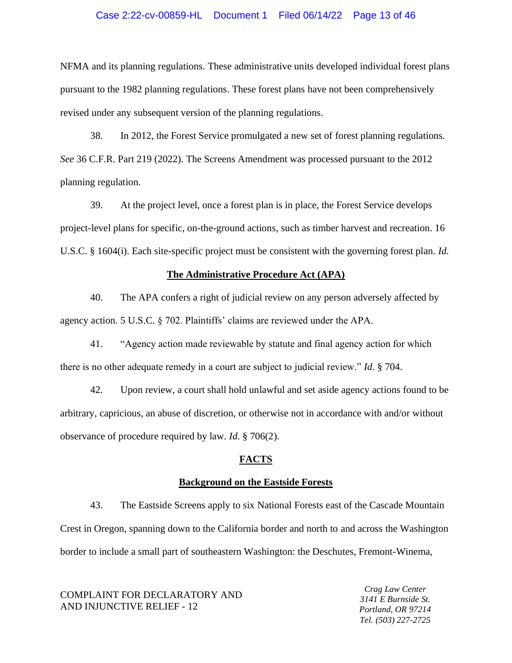## Case 2:22-cv-00859-HL Document 1 Filed 06/14/22 Page 13 of 46

NFMA and its planning regulations. These administrative units developed individual forest plans pursuant to the 1982 planning regulations. These forest plans have not been comprehensively revised under any subsequent version of the planning regulations.

38. In 2012, the Forest Service promulgated a new set of forest planning regulations. *See* 36 C.F.R. Part 219 (2022). The Screens Amendment was processed pursuant to the 2012 planning regulation.

39. At the project level, once a forest plan is in place, the Forest Service develops project-level plans for specific, on-the-ground actions, such as timber harvest and recreation. 16 U.S.C. § 1604(i). Each site-specific project must be consistent with the governing forest plan. *Id.*

#### **The Administrative Procedure Act (APA)**

40. The APA confers a right of judicial review on any person adversely affected by agency action. 5 U.S.C. § 702. Plaintiffs' claims are reviewed under the APA.

41. "Agency action made reviewable by statute and final agency action for which there is no other adequate remedy in a court are subject to judicial review." *Id*. § 704.

42. Upon review, a court shall hold unlawful and set aside agency actions found to be arbitrary, capricious, an abuse of discretion, or otherwise not in accordance with and/or without observance of procedure required by law. *Id*. § 706(2).

## **FACTS**

## **Background on the Eastside Forests**

43. The Eastside Screens apply to six National Forests east of the Cascade Mountain Crest in Oregon, spanning down to the California border and north to and across the Washington border to include a small part of southeastern Washington: the Deschutes, Fremont-Winema,

COMPLAINT FOR DECLARATORY AND AND INJUNCTIVE RELIEF - 12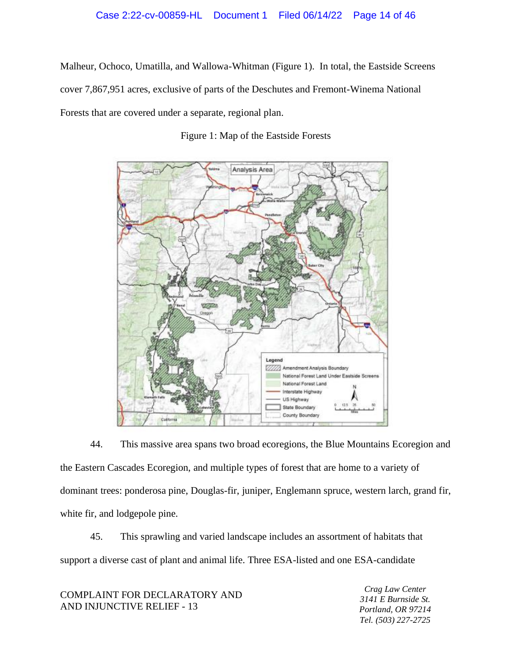Malheur, Ochoco, Umatilla, and Wallowa-Whitman (Figure 1). In total, the Eastside Screens cover 7,867,951 acres, exclusive of parts of the Deschutes and Fremont-Winema National Forests that are covered under a separate, regional plan.

Figure 1: Map of the Eastside Forests



44. This massive area spans two broad ecoregions, the Blue Mountains Ecoregion and the Eastern Cascades Ecoregion, and multiple types of forest that are home to a variety of dominant trees: ponderosa pine, Douglas-fir, juniper, Englemann spruce, western larch, grand fir, white fir, and lodgepole pine.

45. This sprawling and varied landscape includes an assortment of habitats that support a diverse cast of plant and animal life. Three ESA-listed and one ESA-candidate

COMPLAINT FOR DECLARATORY AND AND INJUNCTIVE RELIEF - 13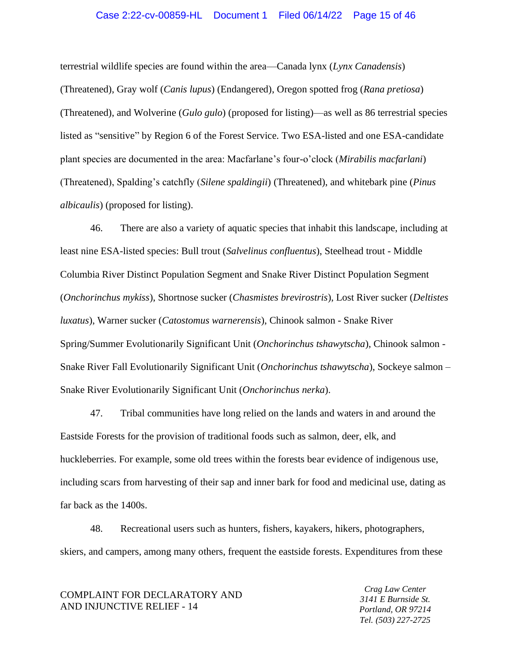## Case 2:22-cv-00859-HL Document 1 Filed 06/14/22 Page 15 of 46

terrestrial wildlife species are found within the area—Canada lynx (*Lynx Canadensis*) (Threatened), Gray wolf (*Canis lupus*) (Endangered), Oregon spotted frog (*Rana pretiosa*) (Threatened), and Wolverine (*Gulo gulo*) (proposed for listing)—as well as 86 terrestrial species listed as "sensitive" by Region 6 of the Forest Service. Two ESA-listed and one ESA-candidate plant species are documented in the area: Macfarlane's four-o'clock (*Mirabilis macfarlani*) (Threatened), Spalding's catchfly (*Silene spaldingii*) (Threatened), and whitebark pine (*Pinus albicaulis*) (proposed for listing).

46. There are also a variety of aquatic species that inhabit this landscape, including at least nine ESA-listed species: Bull trout (*Salvelinus confluentus*), Steelhead trout - Middle Columbia River Distinct Population Segment and Snake River Distinct Population Segment (*Onchorinchus mykiss*), Shortnose sucker (*Chasmistes brevirostris*), Lost River sucker (*Deltistes luxatus*), Warner sucker (*Catostomus warnerensis*), Chinook salmon - Snake River Spring/Summer Evolutionarily Significant Unit (*Onchorinchus tshawytscha*), Chinook salmon - Snake River Fall Evolutionarily Significant Unit (*Onchorinchus tshawytscha*), Sockeye salmon – Snake River Evolutionarily Significant Unit (*Onchorinchus nerka*).

47. Tribal communities have long relied on the lands and waters in and around the Eastside Forests for the provision of traditional foods such as salmon, deer, elk, and huckleberries. For example, some old trees within the forests bear evidence of indigenous use, including scars from harvesting of their sap and inner bark for food and medicinal use, dating as far back as the 1400s.

48. Recreational users such as hunters, fishers, kayakers, hikers, photographers, skiers, and campers, among many others, frequent the eastside forests. Expenditures from these

COMPLAINT FOR DECLARATORY AND AND INJUNCTIVE RELIEF - 14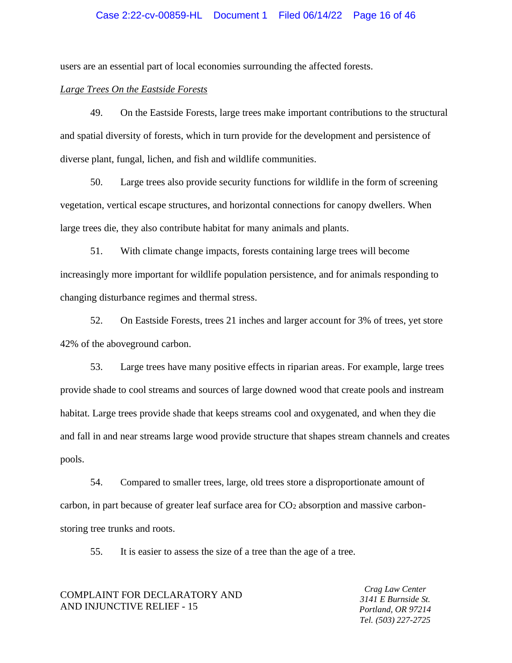## Case 2:22-cv-00859-HL Document 1 Filed 06/14/22 Page 16 of 46

users are an essential part of local economies surrounding the affected forests.

## *Large Trees On the Eastside Forests*

49. On the Eastside Forests, large trees make important contributions to the structural and spatial diversity of forests, which in turn provide for the development and persistence of diverse plant, fungal, lichen, and fish and wildlife communities.

50. Large trees also provide security functions for wildlife in the form of screening vegetation, vertical escape structures, and horizontal connections for canopy dwellers. When large trees die, they also contribute habitat for many animals and plants.

51. With climate change impacts, forests containing large trees will become increasingly more important for wildlife population persistence, and for animals responding to changing disturbance regimes and thermal stress.

52. On Eastside Forests, trees 21 inches and larger account for 3% of trees, yet store 42% of the aboveground carbon.

53. Large trees have many positive effects in riparian areas. For example, large trees provide shade to cool streams and sources of large downed wood that create pools and instream habitat. Large trees provide shade that keeps streams cool and oxygenated, and when they die and fall in and near streams large wood provide structure that shapes stream channels and creates pools.

54. Compared to smaller trees, large, old trees store a disproportionate amount of carbon, in part because of greater leaf surface area for CO<sup>2</sup> absorption and massive carbonstoring tree trunks and roots.

55. It is easier to assess the size of a tree than the age of a tree.

## COMPLAINT FOR DECLARATORY AND AND INJUNCTIVE RELIEF - 15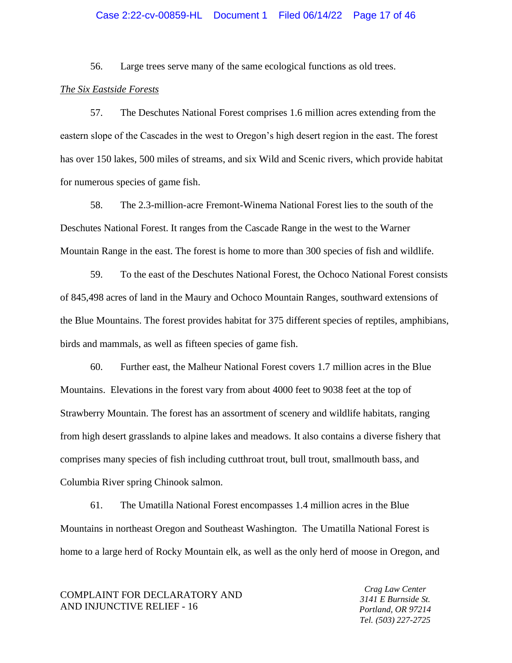## Case 2:22-cv-00859-HL Document 1 Filed 06/14/22 Page 17 of 46

56. Large trees serve many of the same ecological functions as old trees.

## *The Six Eastside Forests*

57. The Deschutes National Forest comprises 1.6 million acres extending from the eastern slope of the Cascades in the west to Oregon's high desert region in the east. The forest has over 150 lakes, 500 miles of streams, and six Wild and Scenic rivers, which provide habitat for numerous species of game fish.

58. The 2.3-million-acre Fremont-Winema National Forest lies to the south of the Deschutes National Forest. It ranges from the Cascade Range in the west to the Warner Mountain Range in the east. The forest is home to more than 300 species of fish and wildlife.

59. To the east of the Deschutes National Forest, the Ochoco National Forest consists of 845,498 acres of land in the Maury and Ochoco Mountain Ranges, southward extensions of the Blue Mountains. The forest provides habitat for 375 different species of reptiles, amphibians, birds and mammals, as well as fifteen species of game fish.

60. Further east, the Malheur National Forest covers 1.7 million acres in the Blue Mountains. Elevations in the forest vary from about 4000 feet to 9038 feet at the top of Strawberry Mountain. The forest has an assortment of scenery and wildlife habitats, ranging from high desert grasslands to alpine lakes and meadows*.* It also contains a diverse fishery that comprises many species of fish including cutthroat trout, bull trout, smallmouth bass, and Columbia River spring Chinook salmon.

61. The Umatilla National Forest encompasses 1.4 million acres in the Blue Mountains in northeast Oregon and Southeast Washington. The Umatilla National Forest is home to a large herd of Rocky Mountain elk, as well as the only herd of moose in Oregon, and

COMPLAINT FOR DECLARATORY AND AND INJUNCTIVE RELIEF - 16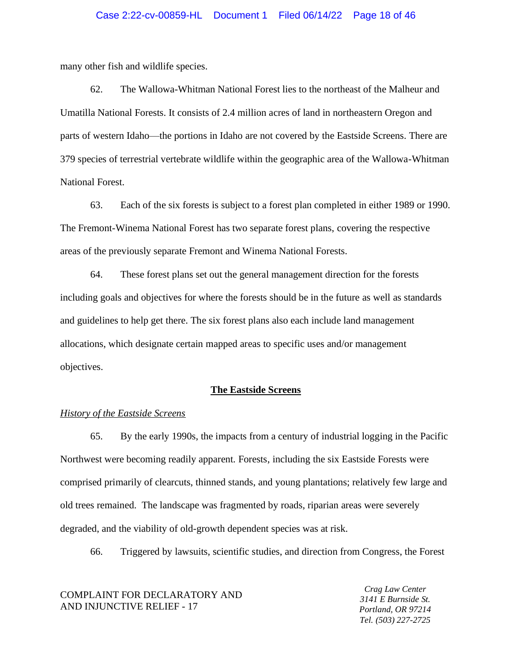many other fish and wildlife species.

62. The Wallowa-Whitman National Forest lies to the northeast of the Malheur and Umatilla National Forests. It consists of 2.4 million acres of land in northeastern Oregon and parts of western Idaho—the portions in Idaho are not covered by the Eastside Screens. There are 379 species of terrestrial vertebrate wildlife within the geographic area of the Wallowa-Whitman National Forest.

63. Each of the six forests is subject to a forest plan completed in either 1989 or 1990. The Fremont-Winema National Forest has two separate forest plans, covering the respective areas of the previously separate Fremont and Winema National Forests.

64. These forest plans set out the general management direction for the forests including goals and objectives for where the forests should be in the future as well as standards and guidelines to help get there. The six forest plans also each include land management allocations, which designate certain mapped areas to specific uses and/or management objectives.

#### **The Eastside Screens**

#### *History of the Eastside Screens*

65. By the early 1990s, the impacts from a century of industrial logging in the Pacific Northwest were becoming readily apparent. Forests, including the six Eastside Forests were comprised primarily of clearcuts, thinned stands, and young plantations; relatively few large and old trees remained. The landscape was fragmented by roads, riparian areas were severely degraded, and the viability of old-growth dependent species was at risk.

66. Triggered by lawsuits, scientific studies, and direction from Congress, the Forest

COMPLAINT FOR DECLARATORY AND AND INJUNCTIVE RELIEF - 17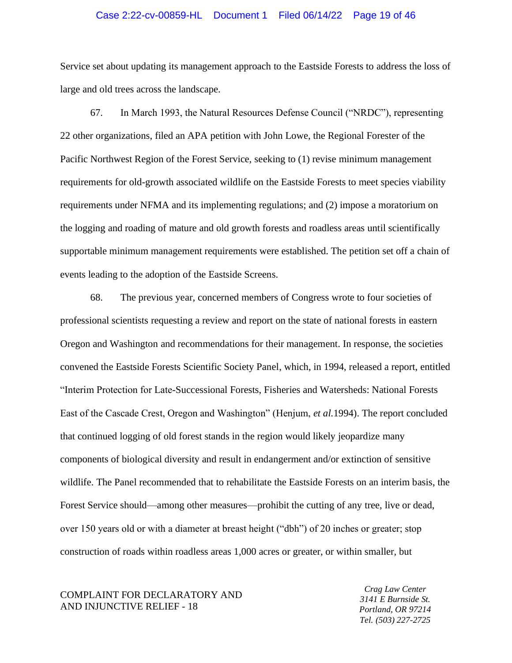### Case 2:22-cv-00859-HL Document 1 Filed 06/14/22 Page 19 of 46

Service set about updating its management approach to the Eastside Forests to address the loss of large and old trees across the landscape.

67. In March 1993, the Natural Resources Defense Council ("NRDC"), representing 22 other organizations, filed an APA petition with John Lowe, the Regional Forester of the Pacific Northwest Region of the Forest Service, seeking to (1) revise minimum management requirements for old-growth associated wildlife on the Eastside Forests to meet species viability requirements under NFMA and its implementing regulations; and (2) impose a moratorium on the logging and roading of mature and old growth forests and roadless areas until scientifically supportable minimum management requirements were established. The petition set off a chain of events leading to the adoption of the Eastside Screens.

68. The previous year, concerned members of Congress wrote to four societies of professional scientists requesting a review and report on the state of national forests in eastern Oregon and Washington and recommendations for their management. In response, the societies convened the Eastside Forests Scientific Society Panel, which, in 1994, released a report, entitled "Interim Protection for Late-Successional Forests, Fisheries and Watersheds: National Forests East of the Cascade Crest, Oregon and Washington" (Henjum, *et al.*1994). The report concluded that continued logging of old forest stands in the region would likely jeopardize many components of biological diversity and result in endangerment and/or extinction of sensitive wildlife. The Panel recommended that to rehabilitate the Eastside Forests on an interim basis, the Forest Service should—among other measures—prohibit the cutting of any tree, live or dead, over 150 years old or with a diameter at breast height ("dbh") of 20 inches or greater; stop construction of roads within roadless areas 1,000 acres or greater, or within smaller, but

COMPLAINT FOR DECLARATORY AND AND INJUNCTIVE RELIEF - 18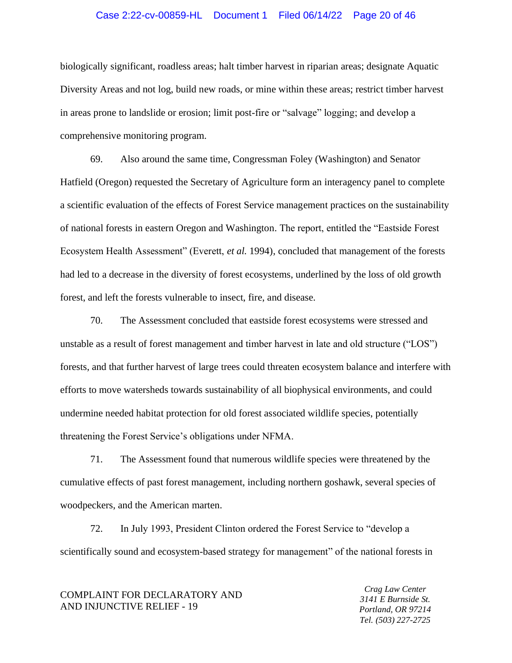## Case 2:22-cv-00859-HL Document 1 Filed 06/14/22 Page 20 of 46

biologically significant, roadless areas; halt timber harvest in riparian areas; designate Aquatic Diversity Areas and not log, build new roads, or mine within these areas; restrict timber harvest in areas prone to landslide or erosion; limit post-fire or "salvage" logging; and develop a comprehensive monitoring program.

69. Also around the same time, Congressman Foley (Washington) and Senator Hatfield (Oregon) requested the Secretary of Agriculture form an interagency panel to complete a scientific evaluation of the effects of Forest Service management practices on the sustainability of national forests in eastern Oregon and Washington. The report, entitled the "Eastside Forest Ecosystem Health Assessment" (Everett, *et al.* 1994), concluded that management of the forests had led to a decrease in the diversity of forest ecosystems, underlined by the loss of old growth forest, and left the forests vulnerable to insect, fire, and disease.

70. The Assessment concluded that eastside forest ecosystems were stressed and unstable as a result of forest management and timber harvest in late and old structure ("LOS") forests, and that further harvest of large trees could threaten ecosystem balance and interfere with efforts to move watersheds towards sustainability of all biophysical environments, and could undermine needed habitat protection for old forest associated wildlife species, potentially threatening the Forest Service's obligations under NFMA.

71. The Assessment found that numerous wildlife species were threatened by the cumulative effects of past forest management, including northern goshawk, several species of woodpeckers, and the American marten.

72. In July 1993, President Clinton ordered the Forest Service to "develop a scientifically sound and ecosystem-based strategy for management" of the national forests in

COMPLAINT FOR DECLARATORY AND AND INJUNCTIVE RELIEF - 19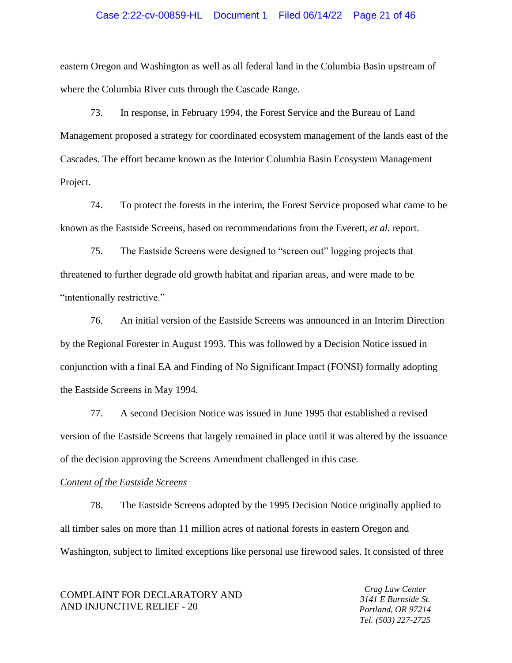## Case 2:22-cv-00859-HL Document 1 Filed 06/14/22 Page 21 of 46

eastern Oregon and Washington as well as all federal land in the Columbia Basin upstream of where the Columbia River cuts through the Cascade Range.

73. In response, in February 1994, the Forest Service and the Bureau of Land Management proposed a strategy for coordinated ecosystem management of the lands east of the Cascades. The effort became known as the Interior Columbia Basin Ecosystem Management Project.

74. To protect the forests in the interim, the Forest Service proposed what came to be known as the Eastside Screens, based on recommendations from the Everett, *et al.* report.

75. The Eastside Screens were designed to "screen out" logging projects that threatened to further degrade old growth habitat and riparian areas, and were made to be "intentionally restrictive."

76. An initial version of the Eastside Screens was announced in an Interim Direction by the Regional Forester in August 1993. This was followed by a Decision Notice issued in conjunction with a final EA and Finding of No Significant Impact (FONSI) formally adopting the Eastside Screens in May 1994.

77. A second Decision Notice was issued in June 1995 that established a revised version of the Eastside Screens that largely remained in place until it was altered by the issuance of the decision approving the Screens Amendment challenged in this case.

#### *Content of the Eastside Screens*

78. The Eastside Screens adopted by the 1995 Decision Notice originally applied to all timber sales on more than 11 million acres of national forests in eastern Oregon and Washington, subject to limited exceptions like personal use firewood sales. It consisted of three

COMPLAINT FOR DECLARATORY AND AND INJUNCTIVE RELIEF - 20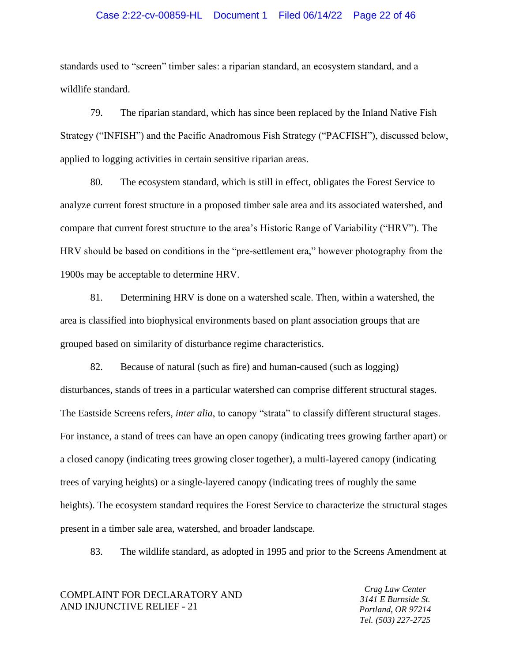## Case 2:22-cv-00859-HL Document 1 Filed 06/14/22 Page 22 of 46

standards used to "screen" timber sales: a riparian standard, an ecosystem standard, and a wildlife standard.

79. The riparian standard, which has since been replaced by the Inland Native Fish Strategy ("INFISH") and the Pacific Anadromous Fish Strategy ("PACFISH"), discussed below, applied to logging activities in certain sensitive riparian areas.

80. The ecosystem standard, which is still in effect, obligates the Forest Service to analyze current forest structure in a proposed timber sale area and its associated watershed, and compare that current forest structure to the area's Historic Range of Variability ("HRV"). The HRV should be based on conditions in the "pre-settlement era," however photography from the 1900s may be acceptable to determine HRV.

81. Determining HRV is done on a watershed scale. Then, within a watershed, the area is classified into biophysical environments based on plant association groups that are grouped based on similarity of disturbance regime characteristics.

82. Because of natural (such as fire) and human-caused (such as logging) disturbances, stands of trees in a particular watershed can comprise different structural stages. The Eastside Screens refers, *inter alia*, to canopy "strata" to classify different structural stages. For instance, a stand of trees can have an open canopy (indicating trees growing farther apart) or a closed canopy (indicating trees growing closer together), a multi-layered canopy (indicating trees of varying heights) or a single-layered canopy (indicating trees of roughly the same heights). The ecosystem standard requires the Forest Service to characterize the structural stages present in a timber sale area, watershed, and broader landscape.

83. The wildlife standard, as adopted in 1995 and prior to the Screens Amendment at

COMPLAINT FOR DECLARATORY AND AND INJUNCTIVE RELIEF - 21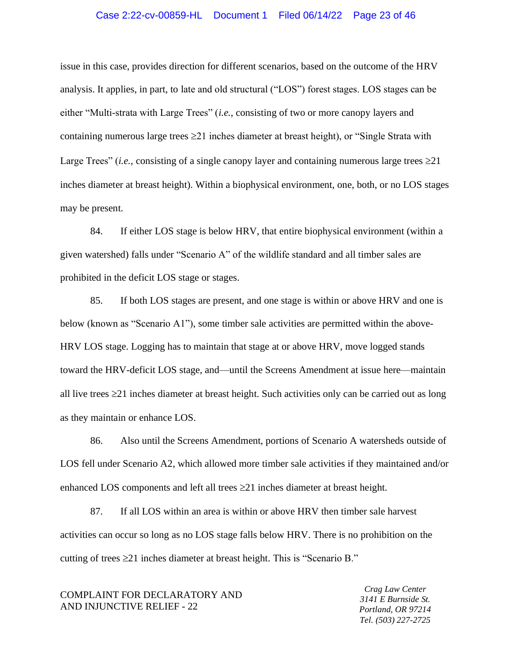## Case 2:22-cv-00859-HL Document 1 Filed 06/14/22 Page 23 of 46

issue in this case, provides direction for different scenarios, based on the outcome of the HRV analysis. It applies, in part, to late and old structural ("LOS") forest stages. LOS stages can be either "Multi-strata with Large Trees" (*i.e.*, consisting of two or more canopy layers and containing numerous large trees  $\geq 21$  inches diameter at breast height), or "Single Strata with Large Trees" (*i.e.*, consisting of a single canopy layer and containing numerous large trees  $\geq 21$ inches diameter at breast height). Within a biophysical environment, one, both, or no LOS stages may be present.

84. If either LOS stage is below HRV, that entire biophysical environment (within a given watershed) falls under "Scenario A" of the wildlife standard and all timber sales are prohibited in the deficit LOS stage or stages.

85. If both LOS stages are present, and one stage is within or above HRV and one is below (known as "Scenario A1"), some timber sale activities are permitted within the above-HRV LOS stage. Logging has to maintain that stage at or above HRV, move logged stands toward the HRV-deficit LOS stage, and—until the Screens Amendment at issue here—maintain all live trees  $\geq$ 21 inches diameter at breast height. Such activities only can be carried out as long as they maintain or enhance LOS.

86. Also until the Screens Amendment, portions of Scenario A watersheds outside of LOS fell under Scenario A2, which allowed more timber sale activities if they maintained and/or enhanced LOS components and left all trees  $\geq 21$  inches diameter at breast height.

87. If all LOS within an area is within or above HRV then timber sale harvest activities can occur so long as no LOS stage falls below HRV. There is no prohibition on the cutting of trees  $\geq 21$  inches diameter at breast height. This is "Scenario B."

COMPLAINT FOR DECLARATORY AND AND INJUNCTIVE RELIEF - 22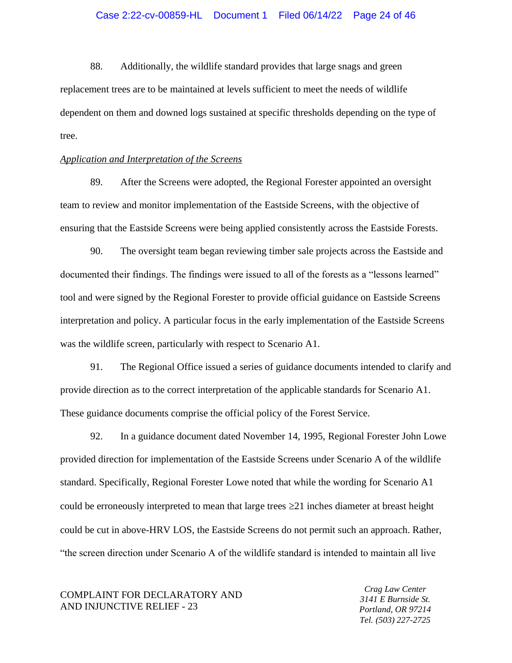88. Additionally, the wildlife standard provides that large snags and green replacement trees are to be maintained at levels sufficient to meet the needs of wildlife dependent on them and downed logs sustained at specific thresholds depending on the type of tree.

## *Application and Interpretation of the Screens*

89. After the Screens were adopted, the Regional Forester appointed an oversight team to review and monitor implementation of the Eastside Screens, with the objective of ensuring that the Eastside Screens were being applied consistently across the Eastside Forests.

90. The oversight team began reviewing timber sale projects across the Eastside and documented their findings. The findings were issued to all of the forests as a "lessons learned" tool and were signed by the Regional Forester to provide official guidance on Eastside Screens interpretation and policy. A particular focus in the early implementation of the Eastside Screens was the wildlife screen, particularly with respect to Scenario A1.

91. The Regional Office issued a series of guidance documents intended to clarify and provide direction as to the correct interpretation of the applicable standards for Scenario A1. These guidance documents comprise the official policy of the Forest Service.

92. In a guidance document dated November 14, 1995, Regional Forester John Lowe provided direction for implementation of the Eastside Screens under Scenario A of the wildlife standard. Specifically, Regional Forester Lowe noted that while the wording for Scenario A1 could be erroneously interpreted to mean that large trees  $\geq 21$  inches diameter at breast height could be cut in above-HRV LOS, the Eastside Screens do not permit such an approach. Rather, "the screen direction under Scenario A of the wildlife standard is intended to maintain all live

COMPLAINT FOR DECLARATORY AND AND INJUNCTIVE RELIEF - 23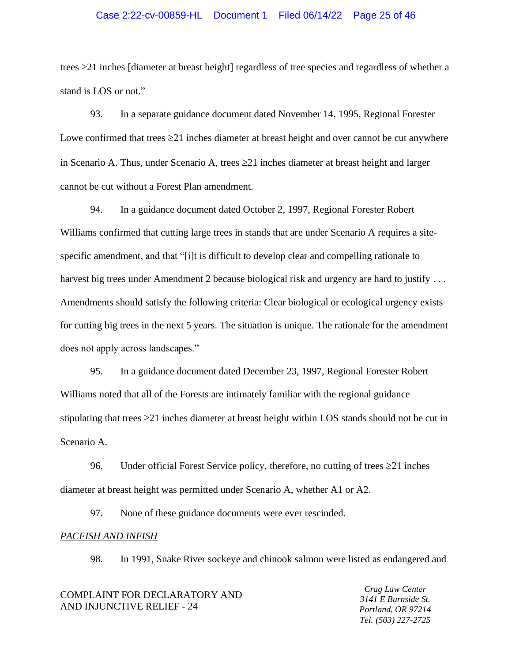## Case 2:22-cv-00859-HL Document 1 Filed 06/14/22 Page 25 of 46

trees 21 inches [diameter at breast height] regardless of tree species and regardless of whether a stand is LOS or not."

93. In a separate guidance document dated November 14, 1995, Regional Forester Lowe confirmed that trees  $\geq 21$  inches diameter at breast height and over cannot be cut anywhere in Scenario A. Thus, under Scenario A, trees 21 inches diameter at breast height and larger cannot be cut without a Forest Plan amendment.

94. In a guidance document dated October 2, 1997, Regional Forester Robert Williams confirmed that cutting large trees in stands that are under Scenario A requires a sitespecific amendment, and that "[i]t is difficult to develop clear and compelling rationale to harvest big trees under Amendment 2 because biological risk and urgency are hard to justify ... Amendments should satisfy the following criteria: Clear biological or ecological urgency exists for cutting big trees in the next 5 years. The situation is unique. The rationale for the amendment does not apply across landscapes."

95. In a guidance document dated December 23, 1997, Regional Forester Robert Williams noted that all of the Forests are intimately familiar with the regional guidance stipulating that trees  $\geq$  21 inches diameter at breast height within LOS stands should not be cut in Scenario A.

96. Under official Forest Service policy, therefore, no cutting of trees  $\geq 21$  inches diameter at breast height was permitted under Scenario A, whether A1 or A2.

97. None of these guidance documents were ever rescinded.

## *PACFISH AND INFISH*

98. In 1991, Snake River sockeye and chinook salmon were listed as endangered and

| COMPLAINT FOR DECLARATORY AND<br>AND INJUNCTIVE RELIEF - 24 | Crag Law Center<br>3141 E Burnside St.<br>Portland, OR 97214 |
|-------------------------------------------------------------|--------------------------------------------------------------|
|                                                             | Tel. (503) 227-2725                                          |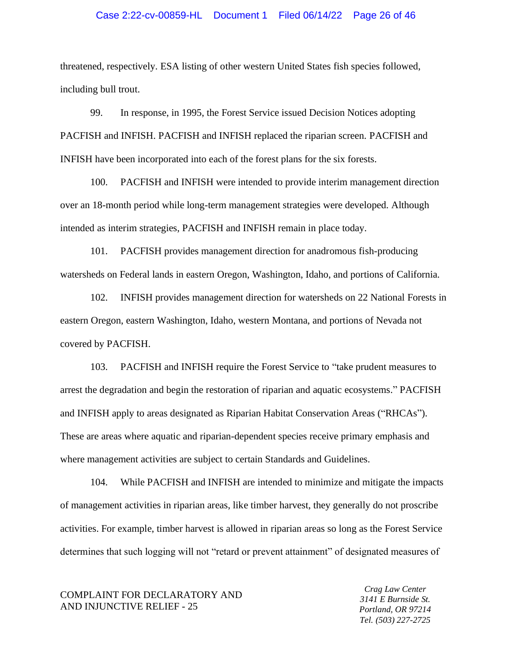### Case 2:22-cv-00859-HL Document 1 Filed 06/14/22 Page 26 of 46

threatened, respectively. ESA listing of other western United States fish species followed, including bull trout.

99. In response, in 1995, the Forest Service issued Decision Notices adopting PACFISH and INFISH. PACFISH and INFISH replaced the riparian screen. PACFISH and INFISH have been incorporated into each of the forest plans for the six forests.

100. PACFISH and INFISH were intended to provide interim management direction over an 18-month period while long-term management strategies were developed. Although intended as interim strategies, PACFISH and INFISH remain in place today.

101. PACFISH provides management direction for anadromous fish-producing watersheds on Federal lands in eastern Oregon, Washington, Idaho, and portions of California.

102. INFISH provides management direction for watersheds on 22 National Forests in eastern Oregon, eastern Washington, Idaho, western Montana, and portions of Nevada not covered by PACFISH.

103. PACFISH and INFISH require the Forest Service to "take prudent measures to arrest the degradation and begin the restoration of riparian and aquatic ecosystems." PACFISH and INFISH apply to areas designated as Riparian Habitat Conservation Areas ("RHCAs"). These are areas where aquatic and riparian-dependent species receive primary emphasis and where management activities are subject to certain Standards and Guidelines.

104. While PACFISH and INFISH are intended to minimize and mitigate the impacts of management activities in riparian areas, like timber harvest, they generally do not proscribe activities. For example, timber harvest is allowed in riparian areas so long as the Forest Service determines that such logging will not "retard or prevent attainment" of designated measures of

COMPLAINT FOR DECLARATORY AND AND INJUNCTIVE RELIEF - 25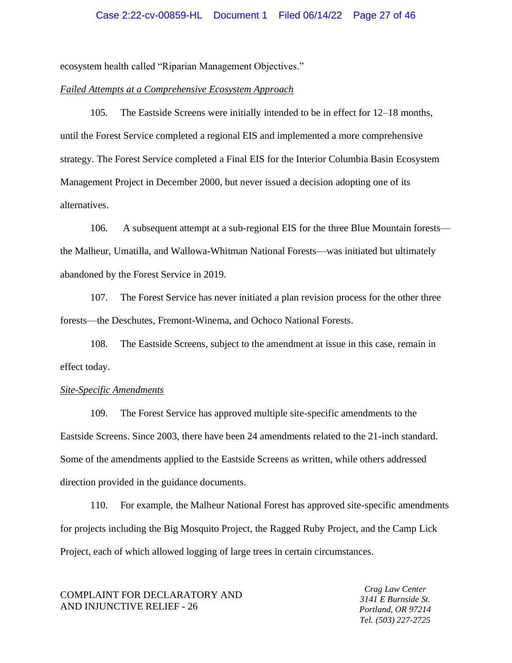ecosystem health called "Riparian Management Objectives."

## *Failed Attempts at a Comprehensive Ecosystem Approach*

105. The Eastside Screens were initially intended to be in effect for 12–18 months, until the Forest Service completed a regional EIS and implemented a more comprehensive strategy. The Forest Service completed a Final EIS for the Interior Columbia Basin Ecosystem Management Project in December 2000, but never issued a decision adopting one of its alternatives.

106. A subsequent attempt at a sub-regional EIS for the three Blue Mountain forests the Malheur, Umatilla, and Wallowa-Whitman National Forests—was initiated but ultimately abandoned by the Forest Service in 2019.

107. The Forest Service has never initiated a plan revision process for the other three forests—the Deschutes, Fremont-Winema, and Ochoco National Forests.

108. The Eastside Screens, subject to the amendment at issue in this case, remain in effect today.

#### *Site-Specific Amendments*

109. The Forest Service has approved multiple site-specific amendments to the Eastside Screens. Since 2003, there have been 24 amendments related to the 21-inch standard. Some of the amendments applied to the Eastside Screens as written, while others addressed direction provided in the guidance documents.

110. For example, the Malheur National Forest has approved site-specific amendments for projects including the Big Mosquito Project, the Ragged Ruby Project, and the Camp Lick Project, each of which allowed logging of large trees in certain circumstances.

COMPLAINT FOR DECLARATORY AND AND INJUNCTIVE RELIEF - 26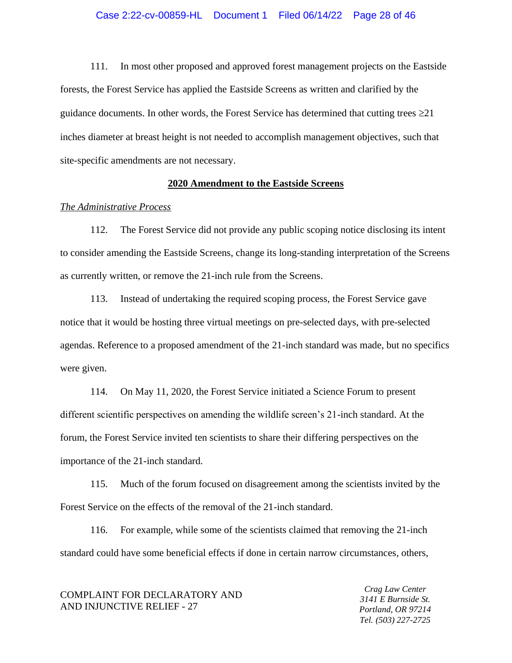111. In most other proposed and approved forest management projects on the Eastside forests, the Forest Service has applied the Eastside Screens as written and clarified by the guidance documents. In other words, the Forest Service has determined that cutting trees  $\geq 21$ inches diameter at breast height is not needed to accomplish management objectives, such that site-specific amendments are not necessary.

## **2020 Amendment to the Eastside Screens**

## *The Administrative Process*

112. The Forest Service did not provide any public scoping notice disclosing its intent to consider amending the Eastside Screens, change its long-standing interpretation of the Screens as currently written, or remove the 21-inch rule from the Screens.

113. Instead of undertaking the required scoping process, the Forest Service gave notice that it would be hosting three virtual meetings on pre-selected days, with pre-selected agendas. Reference to a proposed amendment of the 21-inch standard was made, but no specifics were given.

114. On May 11, 2020, the Forest Service initiated a Science Forum to present different scientific perspectives on amending the wildlife screen's 21-inch standard. At the forum, the Forest Service invited ten scientists to share their differing perspectives on the importance of the 21-inch standard.

115. Much of the forum focused on disagreement among the scientists invited by the Forest Service on the effects of the removal of the 21-inch standard.

116. For example, while some of the scientists claimed that removing the 21-inch standard could have some beneficial effects if done in certain narrow circumstances, others,

COMPLAINT FOR DECLARATORY AND AND INJUNCTIVE RELIEF - 27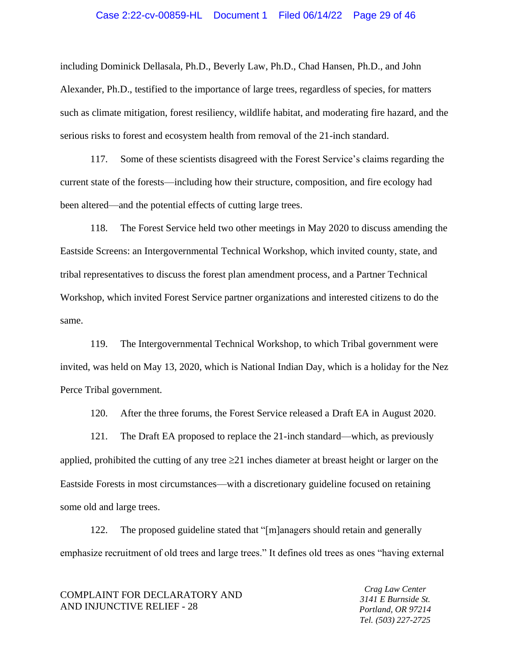## Case 2:22-cv-00859-HL Document 1 Filed 06/14/22 Page 29 of 46

including Dominick Dellasala, Ph.D., Beverly Law, Ph.D., Chad Hansen, Ph.D., and John Alexander, Ph.D., testified to the importance of large trees, regardless of species, for matters such as climate mitigation, forest resiliency, wildlife habitat, and moderating fire hazard, and the serious risks to forest and ecosystem health from removal of the 21-inch standard.

117. Some of these scientists disagreed with the Forest Service's claims regarding the current state of the forests—including how their structure, composition, and fire ecology had been altered—and the potential effects of cutting large trees.

118. The Forest Service held two other meetings in May 2020 to discuss amending the Eastside Screens: an Intergovernmental Technical Workshop, which invited county, state, and tribal representatives to discuss the forest plan amendment process, and a Partner Technical Workshop, which invited Forest Service partner organizations and interested citizens to do the same.

119. The Intergovernmental Technical Workshop, to which Tribal government were invited, was held on May 13, 2020, which is National Indian Day, which is a holiday for the Nez Perce Tribal government.

120. After the three forums, the Forest Service released a Draft EA in August 2020.

121. The Draft EA proposed to replace the 21-inch standard—which, as previously applied, prohibited the cutting of any tree  $\geq 21$  inches diameter at breast height or larger on the Eastside Forests in most circumstances—with a discretionary guideline focused on retaining some old and large trees.

122. The proposed guideline stated that "[m]anagers should retain and generally emphasize recruitment of old trees and large trees." It defines old trees as ones "having external

COMPLAINT FOR DECLARATORY AND AND INJUNCTIVE RELIEF - 28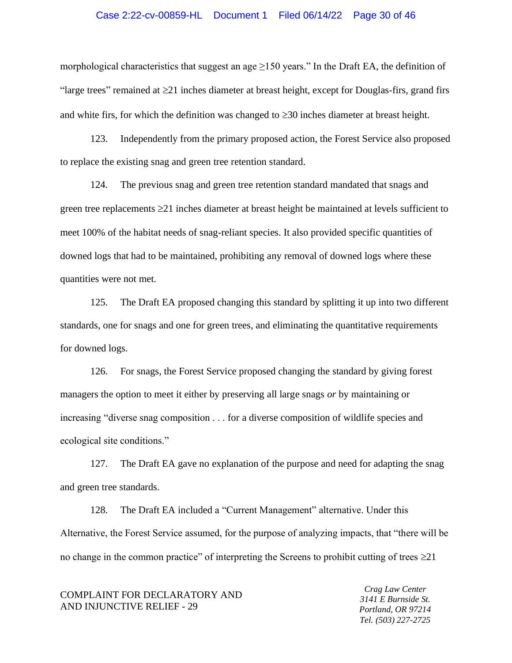### Case 2:22-cv-00859-HL Document 1 Filed 06/14/22 Page 30 of 46

morphological characteristics that suggest an age  $\geq$ 150 years." In the Draft EA, the definition of "large trees" remained at  $\geq 21$  inches diameter at breast height, except for Douglas-firs, grand firs and white firs, for which the definition was changed to  $\geq$ 30 inches diameter at breast height.

123. Independently from the primary proposed action, the Forest Service also proposed to replace the existing snag and green tree retention standard.

124. The previous snag and green tree retention standard mandated that snags and green tree replacements  $\geq$  21 inches diameter at breast height be maintained at levels sufficient to meet 100% of the habitat needs of snag-reliant species. It also provided specific quantities of downed logs that had to be maintained, prohibiting any removal of downed logs where these quantities were not met.

125. The Draft EA proposed changing this standard by splitting it up into two different standards, one for snags and one for green trees, and eliminating the quantitative requirements for downed logs.

126. For snags, the Forest Service proposed changing the standard by giving forest managers the option to meet it either by preserving all large snags *or* by maintaining or increasing "diverse snag composition . . . for a diverse composition of wildlife species and ecological site conditions."

127. The Draft EA gave no explanation of the purpose and need for adapting the snag and green tree standards.

128. The Draft EA included a "Current Management" alternative. Under this Alternative, the Forest Service assumed, for the purpose of analyzing impacts, that "there will be no change in the common practice" of interpreting the Screens to prohibit cutting of trees  $\geq 21$ 

COMPLAINT FOR DECLARATORY AND AND INJUNCTIVE RELIEF - 29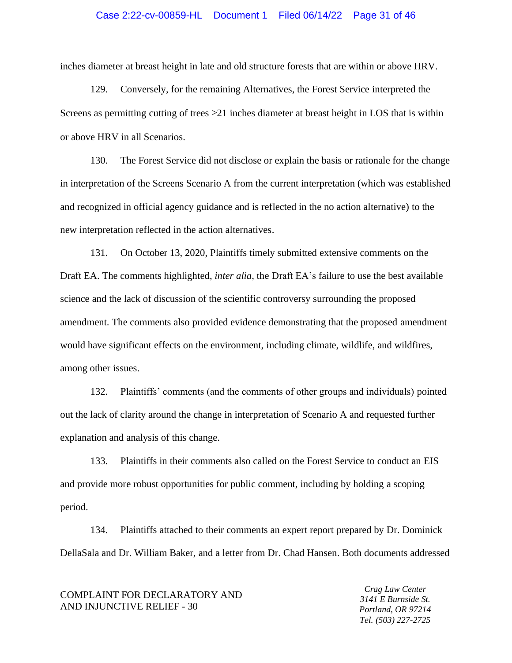## Case 2:22-cv-00859-HL Document 1 Filed 06/14/22 Page 31 of 46

inches diameter at breast height in late and old structure forests that are within or above HRV.

129. Conversely, for the remaining Alternatives, the Forest Service interpreted the Screens as permitting cutting of trees  $\geq 21$  inches diameter at breast height in LOS that is within or above HRV in all Scenarios.

130. The Forest Service did not disclose or explain the basis or rationale for the change in interpretation of the Screens Scenario A from the current interpretation (which was established and recognized in official agency guidance and is reflected in the no action alternative) to the new interpretation reflected in the action alternatives.

131. On October 13, 2020, Plaintiffs timely submitted extensive comments on the Draft EA. The comments highlighted, *inter alia*, the Draft EA's failure to use the best available science and the lack of discussion of the scientific controversy surrounding the proposed amendment. The comments also provided evidence demonstrating that the proposed amendment would have significant effects on the environment, including climate, wildlife, and wildfires, among other issues.

132. Plaintiffs' comments (and the comments of other groups and individuals) pointed out the lack of clarity around the change in interpretation of Scenario A and requested further explanation and analysis of this change.

133. Plaintiffs in their comments also called on the Forest Service to conduct an EIS and provide more robust opportunities for public comment, including by holding a scoping period.

134. Plaintiffs attached to their comments an expert report prepared by Dr. Dominick DellaSala and Dr. William Baker, and a letter from Dr. Chad Hansen. Both documents addressed

## COMPLAINT FOR DECLARATORY AND AND INJUNCTIVE RELIEF - 30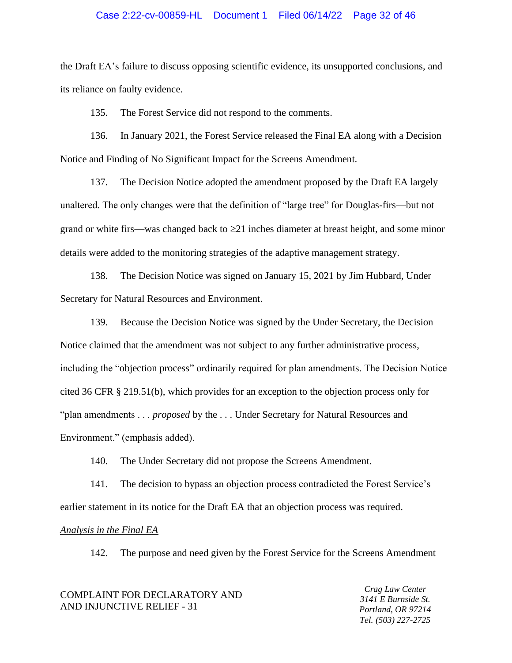## Case 2:22-cv-00859-HL Document 1 Filed 06/14/22 Page 32 of 46

the Draft EA's failure to discuss opposing scientific evidence, its unsupported conclusions, and its reliance on faulty evidence.

135. The Forest Service did not respond to the comments.

136. In January 2021, the Forest Service released the Final EA along with a Decision Notice and Finding of No Significant Impact for the Screens Amendment.

137. The Decision Notice adopted the amendment proposed by the Draft EA largely unaltered. The only changes were that the definition of "large tree" for Douglas-firs—but not grand or white firs—was changed back to  $\geq 21$  inches diameter at breast height, and some minor details were added to the monitoring strategies of the adaptive management strategy.

138. The Decision Notice was signed on January 15, 2021 by Jim Hubbard, Under Secretary for Natural Resources and Environment.

139. Because the Decision Notice was signed by the Under Secretary, the Decision Notice claimed that the amendment was not subject to any further administrative process, including the "objection process" ordinarily required for plan amendments. The Decision Notice cited 36 CFR § 219.51(b), which provides for an exception to the objection process only for "plan amendments . . . *proposed* by the . . . Under Secretary for Natural Resources and Environment." (emphasis added).

140. The Under Secretary did not propose the Screens Amendment.

141. The decision to bypass an objection process contradicted the Forest Service's earlier statement in its notice for the Draft EA that an objection process was required.

## *Analysis in the Final EA*

142. The purpose and need given by the Forest Service for the Screens Amendment

| COMPLAINT FOR DECLARATORY AND |
|-------------------------------|
| AND INJUNCTIVE RELIEF - 31    |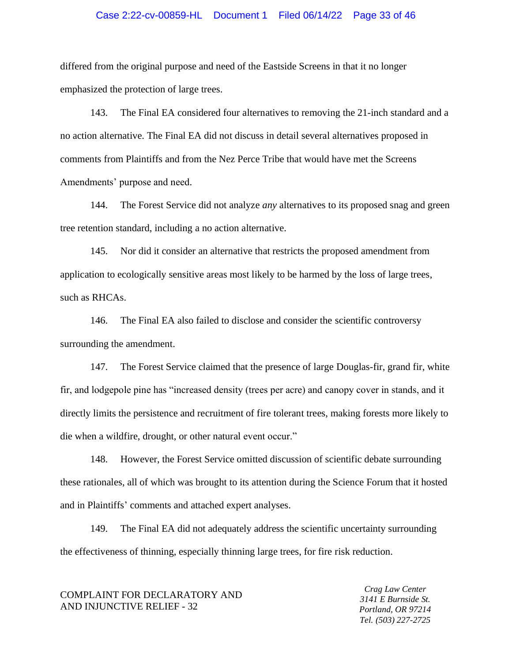## Case 2:22-cv-00859-HL Document 1 Filed 06/14/22 Page 33 of 46

differed from the original purpose and need of the Eastside Screens in that it no longer emphasized the protection of large trees.

143. The Final EA considered four alternatives to removing the 21-inch standard and a no action alternative. The Final EA did not discuss in detail several alternatives proposed in comments from Plaintiffs and from the Nez Perce Tribe that would have met the Screens Amendments' purpose and need.

144. The Forest Service did not analyze *any* alternatives to its proposed snag and green tree retention standard, including a no action alternative.

145. Nor did it consider an alternative that restricts the proposed amendment from application to ecologically sensitive areas most likely to be harmed by the loss of large trees, such as RHCAs.

146. The Final EA also failed to disclose and consider the scientific controversy surrounding the amendment.

147. The Forest Service claimed that the presence of large Douglas-fir, grand fir, white fir, and lodgepole pine has "increased density (trees per acre) and canopy cover in stands, and it directly limits the persistence and recruitment of fire tolerant trees, making forests more likely to die when a wildfire, drought, or other natural event occur."

148. However, the Forest Service omitted discussion of scientific debate surrounding these rationales, all of which was brought to its attention during the Science Forum that it hosted and in Plaintiffs' comments and attached expert analyses.

149. The Final EA did not adequately address the scientific uncertainty surrounding the effectiveness of thinning, especially thinning large trees, for fire risk reduction.

COMPLAINT FOR DECLARATORY AND AND INJUNCTIVE RELIEF - 32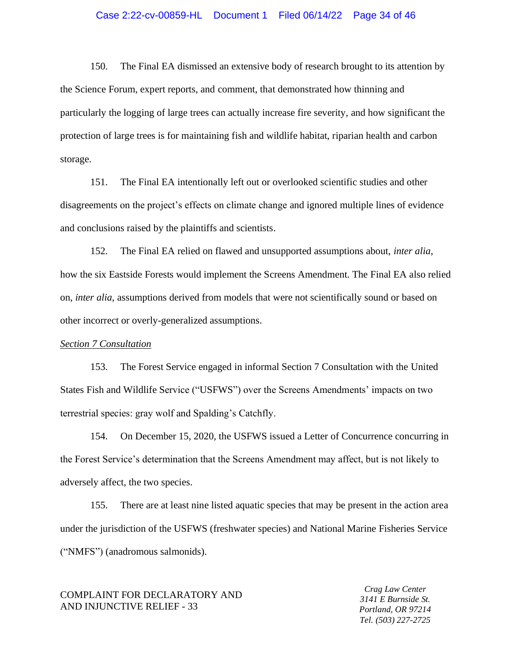## Case 2:22-cv-00859-HL Document 1 Filed 06/14/22 Page 34 of 46

150. The Final EA dismissed an extensive body of research brought to its attention by the Science Forum, expert reports, and comment, that demonstrated how thinning and particularly the logging of large trees can actually increase fire severity, and how significant the protection of large trees is for maintaining fish and wildlife habitat, riparian health and carbon storage.

151. The Final EA intentionally left out or overlooked scientific studies and other disagreements on the project's effects on climate change and ignored multiple lines of evidence and conclusions raised by the plaintiffs and scientists.

152. The Final EA relied on flawed and unsupported assumptions about, *inter alia*, how the six Eastside Forests would implement the Screens Amendment. The Final EA also relied on, *inter alia*, assumptions derived from models that were not scientifically sound or based on other incorrect or overly-generalized assumptions.

### *Section 7 Consultation*

153. The Forest Service engaged in informal Section 7 Consultation with the United States Fish and Wildlife Service ("USFWS") over the Screens Amendments' impacts on two terrestrial species: gray wolf and Spalding's Catchfly.

154. On December 15, 2020, the USFWS issued a Letter of Concurrence concurring in the Forest Service's determination that the Screens Amendment may affect, but is not likely to adversely affect, the two species.

155. There are at least nine listed aquatic species that may be present in the action area under the jurisdiction of the USFWS (freshwater species) and National Marine Fisheries Service ("NMFS") (anadromous salmonids).

## COMPLAINT FOR DECLARATORY AND AND INJUNCTIVE RELIEF - 33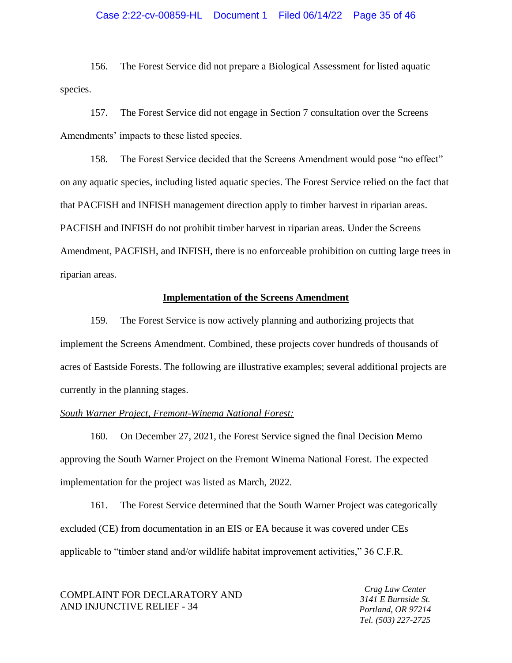## Case 2:22-cv-00859-HL Document 1 Filed 06/14/22 Page 35 of 46

156. The Forest Service did not prepare a Biological Assessment for listed aquatic species.

157. The Forest Service did not engage in Section 7 consultation over the Screens Amendments' impacts to these listed species.

158. The Forest Service decided that the Screens Amendment would pose "no effect" on any aquatic species, including listed aquatic species. The Forest Service relied on the fact that that PACFISH and INFISH management direction apply to timber harvest in riparian areas. PACFISH and INFISH do not prohibit timber harvest in riparian areas. Under the Screens Amendment, PACFISH, and INFISH, there is no enforceable prohibition on cutting large trees in riparian areas.

## **Implementation of the Screens Amendment**

159. The Forest Service is now actively planning and authorizing projects that implement the Screens Amendment. Combined, these projects cover hundreds of thousands of acres of Eastside Forests. The following are illustrative examples; several additional projects are currently in the planning stages.

## *South Warner Project, Fremont-Winema National Forest:*

160. On December 27, 2021, the Forest Service signed the final Decision Memo approving the South Warner Project on the Fremont Winema National Forest. The expected implementation for the project was listed as March, 2022.

161. The Forest Service determined that the South Warner Project was categorically excluded (CE) from documentation in an EIS or EA because it was covered under CEs applicable to "timber stand and/or wildlife habitat improvement activities," 36 C.F.R.

COMPLAINT FOR DECLARATORY AND AND INJUNCTIVE RELIEF - 34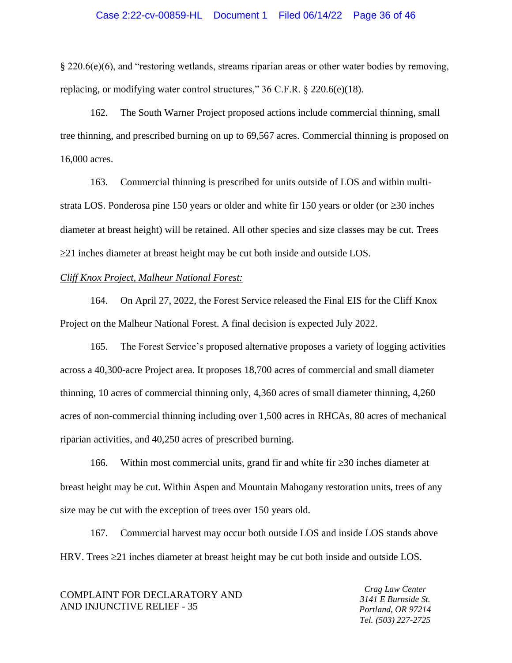### Case 2:22-cv-00859-HL Document 1 Filed 06/14/22 Page 36 of 46

§ 220.6(e)(6), and "restoring wetlands, streams riparian areas or other water bodies by removing, replacing, or modifying water control structures," 36 C.F.R. § 220.6(e)(18).

162. The South Warner Project proposed actions include commercial thinning, small tree thinning, and prescribed burning on up to 69,567 acres. Commercial thinning is proposed on 16,000 acres.

163. Commercial thinning is prescribed for units outside of LOS and within multistrata LOS. Ponderosa pine 150 years or older and white fir 150 years or older (or  $\geq$ 30 inches diameter at breast height) will be retained. All other species and size classes may be cut. Trees  $\geq$ 21 inches diameter at breast height may be cut both inside and outside LOS.

## *Cliff Knox Project, Malheur National Forest:*

164. On April 27, 2022, the Forest Service released the Final EIS for the Cliff Knox Project on the Malheur National Forest. A final decision is expected July 2022.

165. The Forest Service's proposed alternative proposes a variety of logging activities across a 40,300-acre Project area. It proposes 18,700 acres of commercial and small diameter thinning, 10 acres of commercial thinning only, 4,360 acres of small diameter thinning, 4,260 acres of non-commercial thinning including over 1,500 acres in RHCAs, 80 acres of mechanical riparian activities, and 40,250 acres of prescribed burning.

166. Within most commercial units, grand fir and white fir  $\geq$  30 inches diameter at breast height may be cut. Within Aspen and Mountain Mahogany restoration units, trees of any size may be cut with the exception of trees over 150 years old.

167. Commercial harvest may occur both outside LOS and inside LOS stands above HRV. Trees  $\geq$  21 inches diameter at breast height may be cut both inside and outside LOS.

| COMPLAINT FOR DECLARATORY AND | Crag Law Center     |
|-------------------------------|---------------------|
|                               | 3141 E Burnside St. |
| AND INJUNCTIVE RELIEF - 35    | Portland, OR 97214  |
|                               | Tel. (503) 227-2725 |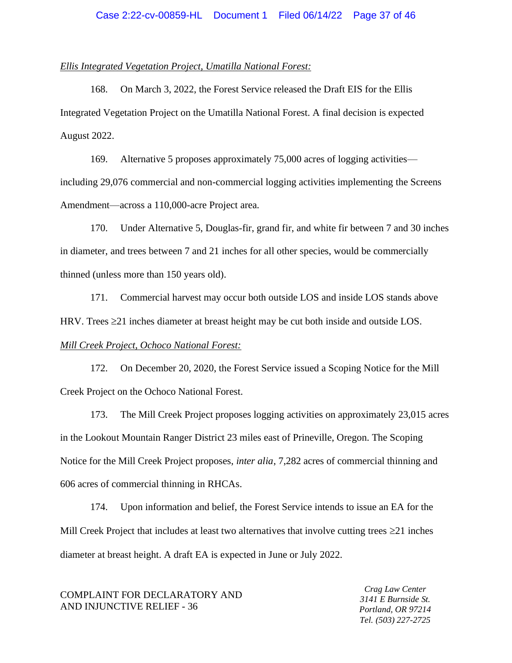## *Ellis Integrated Vegetation Project, Umatilla National Forest:*

168. On March 3, 2022, the Forest Service released the Draft EIS for the Ellis Integrated Vegetation Project on the Umatilla National Forest. A final decision is expected August 2022.

169. Alternative 5 proposes approximately 75,000 acres of logging activities including 29,076 commercial and non-commercial logging activities implementing the Screens Amendment—across a 110,000-acre Project area.

170. Under Alternative 5, Douglas-fir, grand fir, and white fir between 7 and 30 inches in diameter, and trees between 7 and 21 inches for all other species, would be commercially thinned (unless more than 150 years old).

171. Commercial harvest may occur both outside LOS and inside LOS stands above HRV. Trees  $\geq$ 21 inches diameter at breast height may be cut both inside and outside LOS. *Mill Creek Project, Ochoco National Forest:* 

172. On December 20, 2020, the Forest Service issued a Scoping Notice for the Mill Creek Project on the Ochoco National Forest.

173. The Mill Creek Project proposes logging activities on approximately 23,015 acres in the Lookout Mountain Ranger District 23 miles east of Prineville, Oregon. The Scoping Notice for the Mill Creek Project proposes, *inter alia*, 7,282 acres of commercial thinning and 606 acres of commercial thinning in RHCAs.

174. Upon information and belief, the Forest Service intends to issue an EA for the Mill Creek Project that includes at least two alternatives that involve cutting trees  $\geq 21$  inches diameter at breast height. A draft EA is expected in June or July 2022.

COMPLAINT FOR DECLARATORY AND AND INJUNCTIVE RELIEF - 36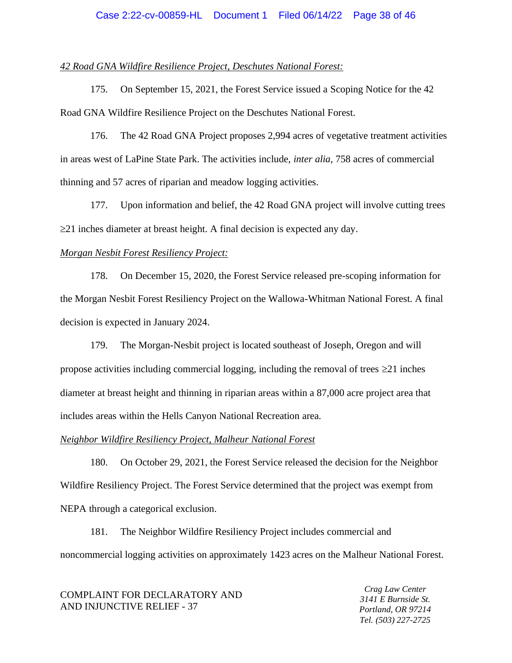## Case 2:22-cv-00859-HL Document 1 Filed 06/14/22 Page 38 of 46

## *42 Road GNA Wildfire Resilience Project, Deschutes National Forest:*

175. On September 15, 2021, the Forest Service issued a Scoping Notice for the 42 Road GNA Wildfire Resilience Project on the Deschutes National Forest.

176. The 42 Road GNA Project proposes 2,994 acres of vegetative treatment activities in areas west of LaPine State Park. The activities include, *inter alia*, 758 acres of commercial thinning and 57 acres of riparian and meadow logging activities.

177. Upon information and belief, the 42 Road GNA project will involve cutting trees  $\geq$ 21 inches diameter at breast height. A final decision is expected any day.

## *Morgan Nesbit Forest Resiliency Project:*

178. On December 15, 2020, the Forest Service released pre-scoping information for the Morgan Nesbit Forest Resiliency Project on the Wallowa-Whitman National Forest. A final decision is expected in January 2024.

179. The Morgan-Nesbit project is located southeast of Joseph, Oregon and will propose activities including commercial logging, including the removal of trees  $\geq 21$  inches diameter at breast height and thinning in riparian areas within a 87,000 acre project area that includes areas within the Hells Canyon National Recreation area.

## *Neighbor Wildfire Resiliency Project, Malheur National Forest*

180. On October 29, 2021, the Forest Service released the decision for the Neighbor Wildfire Resiliency Project. The Forest Service determined that the project was exempt from NEPA through a categorical exclusion.

181. The Neighbor Wildfire Resiliency Project includes commercial and noncommercial logging activities on approximately 1423 acres on the Malheur National Forest.

COMPLAINT FOR DECLARATORY AND AND INJUNCTIVE RELIEF - 37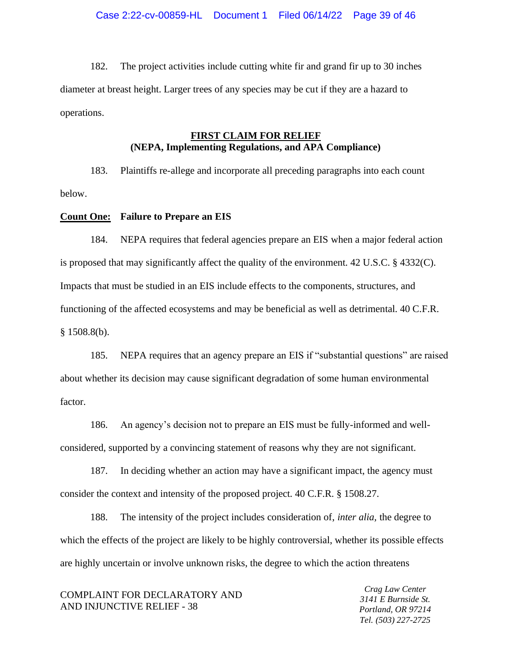182. The project activities include cutting white fir and grand fir up to 30 inches diameter at breast height. Larger trees of any species may be cut if they are a hazard to operations.

# **FIRST CLAIM FOR RELIEF (NEPA, Implementing Regulations, and APA Compliance)**

183. Plaintiffs re-allege and incorporate all preceding paragraphs into each count below.

## **Count One: Failure to Prepare an EIS**

184. NEPA requires that federal agencies prepare an EIS when a major federal action is proposed that may significantly affect the quality of the environment. 42 U.S.C. § 4332(C). Impacts that must be studied in an EIS include effects to the components, structures, and functioning of the affected ecosystems and may be beneficial as well as detrimental. 40 C.F.R.  $§ 1508.8(b).$ 

185. NEPA requires that an agency prepare an EIS if "substantial questions" are raised about whether its decision may cause significant degradation of some human environmental factor.

186. An agency's decision not to prepare an EIS must be fully-informed and wellconsidered, supported by a convincing statement of reasons why they are not significant.

187. In deciding whether an action may have a significant impact, the agency must consider the context and intensity of the proposed project. 40 C.F.R. § 1508.27.

188. The intensity of the project includes consideration of, *inter alia,* the degree to which the effects of the project are likely to be highly controversial, whether its possible effects are highly uncertain or involve unknown risks, the degree to which the action threatens

COMPLAINT FOR DECLARATORY AND AND INJUNCTIVE RELIEF - 38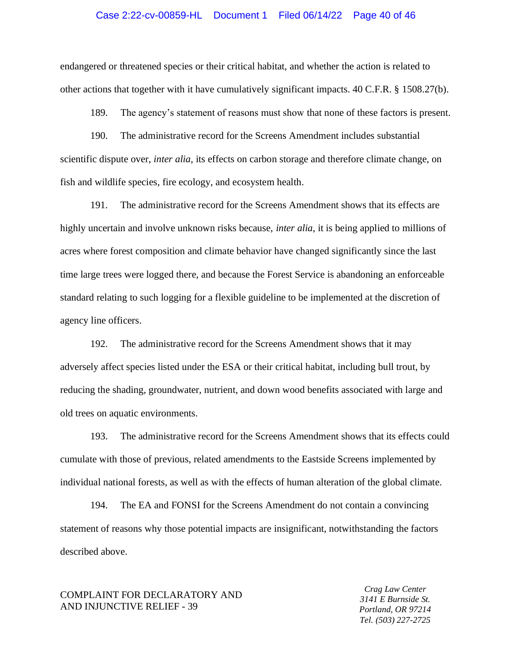## Case 2:22-cv-00859-HL Document 1 Filed 06/14/22 Page 40 of 46

endangered or threatened species or their critical habitat, and whether the action is related to other actions that together with it have cumulatively significant impacts. 40 C.F.R. § 1508.27(b).

189. The agency's statement of reasons must show that none of these factors is present.

190. The administrative record for the Screens Amendment includes substantial scientific dispute over, *inter alia*, its effects on carbon storage and therefore climate change, on fish and wildlife species, fire ecology, and ecosystem health.

191. The administrative record for the Screens Amendment shows that its effects are highly uncertain and involve unknown risks because, *inter alia*, it is being applied to millions of acres where forest composition and climate behavior have changed significantly since the last time large trees were logged there, and because the Forest Service is abandoning an enforceable standard relating to such logging for a flexible guideline to be implemented at the discretion of agency line officers.

192. The administrative record for the Screens Amendment shows that it may adversely affect species listed under the ESA or their critical habitat, including bull trout, by reducing the shading, groundwater, nutrient, and down wood benefits associated with large and old trees on aquatic environments.

193. The administrative record for the Screens Amendment shows that its effects could cumulate with those of previous, related amendments to the Eastside Screens implemented by individual national forests, as well as with the effects of human alteration of the global climate.

194. The EA and FONSI for the Screens Amendment do not contain a convincing statement of reasons why those potential impacts are insignificant, notwithstanding the factors described above.

## COMPLAINT FOR DECLARATORY AND AND INJUNCTIVE RELIEF - 39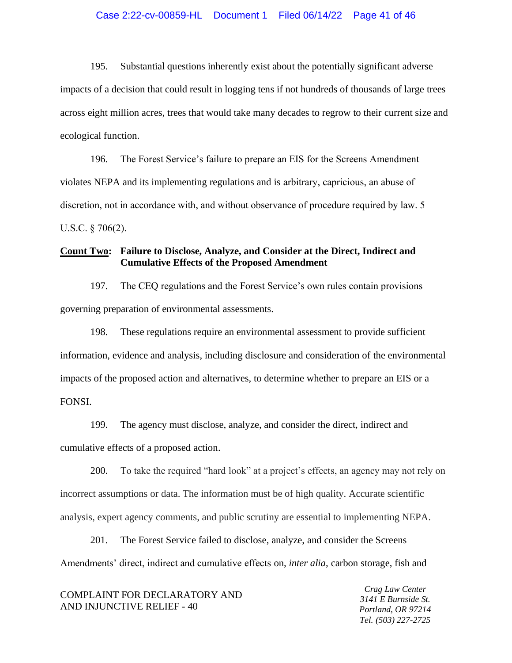## Case 2:22-cv-00859-HL Document 1 Filed 06/14/22 Page 41 of 46

195. Substantial questions inherently exist about the potentially significant adverse impacts of a decision that could result in logging tens if not hundreds of thousands of large trees across eight million acres, trees that would take many decades to regrow to their current size and ecological function.

196. The Forest Service's failure to prepare an EIS for the Screens Amendment violates NEPA and its implementing regulations and is arbitrary, capricious, an abuse of discretion, not in accordance with, and without observance of procedure required by law. 5 U.S.C. § 706(2).

# **Count Two: Failure to Disclose, Analyze, and Consider at the Direct, Indirect and Cumulative Effects of the Proposed Amendment**

197. The CEQ regulations and the Forest Service's own rules contain provisions governing preparation of environmental assessments.

198. These regulations require an environmental assessment to provide sufficient information, evidence and analysis, including disclosure and consideration of the environmental impacts of the proposed action and alternatives, to determine whether to prepare an EIS or a FONSI.

199. The agency must disclose, analyze, and consider the direct, indirect and cumulative effects of a proposed action.

200. To take the required "hard look" at a project's effects, an agency may not rely on incorrect assumptions or data. The information must be of high quality. Accurate scientific analysis, expert agency comments, and public scrutiny are essential to implementing NEPA.

201. The Forest Service failed to disclose, analyze, and consider the Screens Amendments' direct, indirect and cumulative effects on, *inter alia*, carbon storage, fish and

| COMPLAINT FOR DECLARATORY AND |  |
|-------------------------------|--|
| AND INJUNCTIVE RELIEF - 40    |  |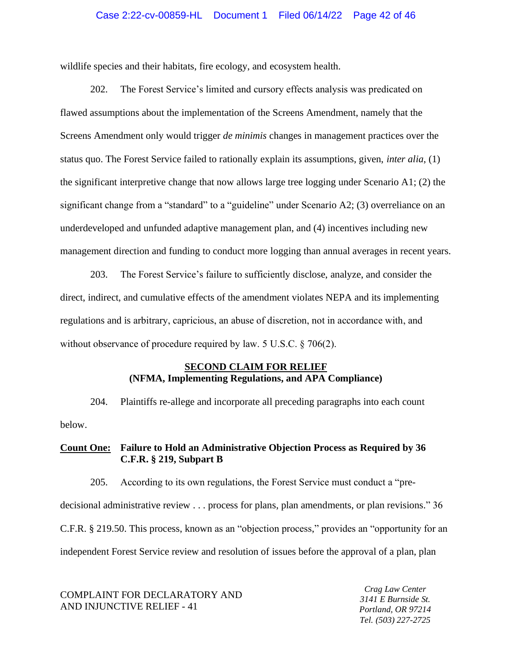## Case 2:22-cv-00859-HL Document 1 Filed 06/14/22 Page 42 of 46

wildlife species and their habitats, fire ecology, and ecosystem health.

202. The Forest Service's limited and cursory effects analysis was predicated on flawed assumptions about the implementation of the Screens Amendment, namely that the Screens Amendment only would trigger *de minimis* changes in management practices over the status quo. The Forest Service failed to rationally explain its assumptions, given, *inter alia*, (1) the significant interpretive change that now allows large tree logging under Scenario A1; (2) the significant change from a "standard" to a "guideline" under Scenario A2; (3) overreliance on an underdeveloped and unfunded adaptive management plan, and (4) incentives including new management direction and funding to conduct more logging than annual averages in recent years.

203. The Forest Service's failure to sufficiently disclose, analyze, and consider the direct, indirect, and cumulative effects of the amendment violates NEPA and its implementing regulations and is arbitrary, capricious, an abuse of discretion, not in accordance with, and without observance of procedure required by law. 5 U.S.C. § 706(2).

## **SECOND CLAIM FOR RELIEF (NFMA, Implementing Regulations, and APA Compliance)**

204. Plaintiffs re-allege and incorporate all preceding paragraphs into each count below.

# **Count One: Failure to Hold an Administrative Objection Process as Required by 36 C.F.R. § 219, Subpart B**

205. According to its own regulations, the Forest Service must conduct a "predecisional administrative review . . . process for plans, plan amendments, or plan revisions." 36 C.F.R. § 219.50. This process, known as an "objection process," provides an "opportunity for an independent Forest Service review and resolution of issues before the approval of a plan, plan

COMPLAINT FOR DECLARATORY AND AND INJUNCTIVE RELIEF - 41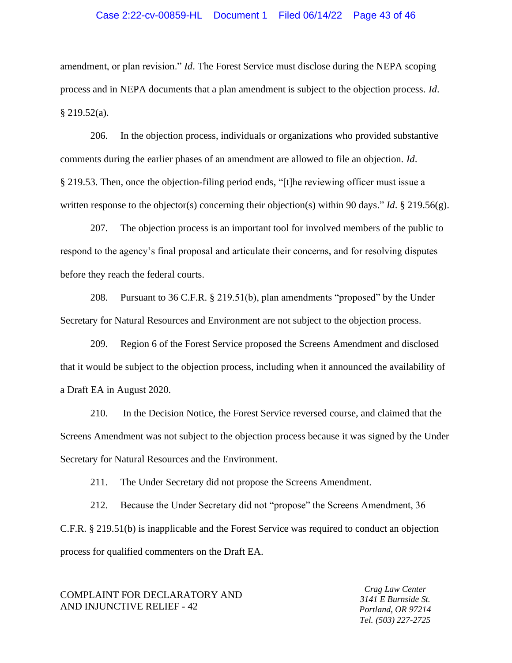## Case 2:22-cv-00859-HL Document 1 Filed 06/14/22 Page 43 of 46

amendment, or plan revision." *Id*. The Forest Service must disclose during the NEPA scoping process and in NEPA documents that a plan amendment is subject to the objection process. *Id*.  $§$  219.52(a).

206. In the objection process, individuals or organizations who provided substantive comments during the earlier phases of an amendment are allowed to file an objection. *Id*. § 219.53. Then, once the objection-filing period ends, "[t]he reviewing officer must issue a written response to the objector(s) concerning their objection(s) within 90 days." *Id*. § 219.56(g).

207. The objection process is an important tool for involved members of the public to respond to the agency's final proposal and articulate their concerns, and for resolving disputes before they reach the federal courts.

208. Pursuant to 36 C.F.R. § 219.51(b), plan amendments "proposed" by the Under Secretary for Natural Resources and Environment are not subject to the objection process.

209. Region 6 of the Forest Service proposed the Screens Amendment and disclosed that it would be subject to the objection process, including when it announced the availability of a Draft EA in August 2020.

210. In the Decision Notice, the Forest Service reversed course, and claimed that the Screens Amendment was not subject to the objection process because it was signed by the Under Secretary for Natural Resources and the Environment.

211. The Under Secretary did not propose the Screens Amendment.

212. Because the Under Secretary did not "propose" the Screens Amendment, 36 C.F.R. § 219.51(b) is inapplicable and the Forest Service was required to conduct an objection process for qualified commenters on the Draft EA.

## COMPLAINT FOR DECLARATORY AND AND INJUNCTIVE RELIEF - 42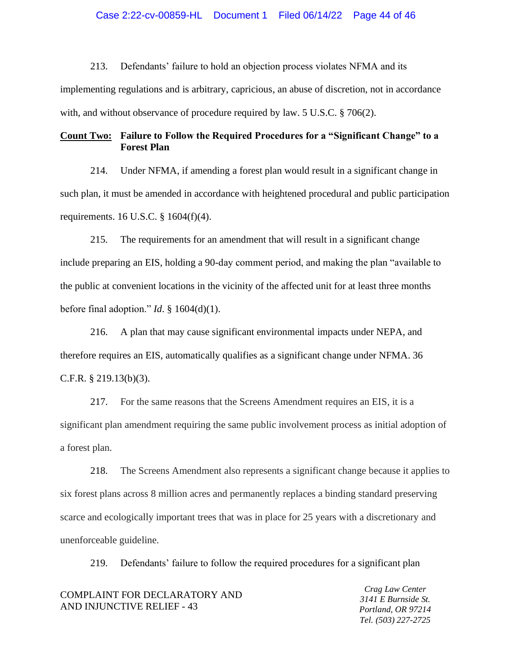## Case 2:22-cv-00859-HL Document 1 Filed 06/14/22 Page 44 of 46

213. Defendants' failure to hold an objection process violates NFMA and its implementing regulations and is arbitrary, capricious, an abuse of discretion, not in accordance with, and without observance of procedure required by law. 5 U.S.C. § 706(2).

# **Count Two: Failure to Follow the Required Procedures for a "Significant Change" to a Forest Plan**

214. Under NFMA, if amending a forest plan would result in a significant change in such plan, it must be amended in accordance with heightened procedural and public participation requirements. 16 U.S.C. § 1604(f)(4).

215. The requirements for an amendment that will result in a significant change include preparing an EIS, holding a 90-day comment period, and making the plan "available to the public at convenient locations in the vicinity of the affected unit for at least three months before final adoption." *Id*. § 1604(d)(1).

216. A plan that may cause significant environmental impacts under NEPA, and therefore requires an EIS, automatically qualifies as a significant change under NFMA. 36 C.F.R. § 219.13(b)(3).

217. For the same reasons that the Screens Amendment requires an EIS, it is a significant plan amendment requiring the same public involvement process as initial adoption of a forest plan.

218. The Screens Amendment also represents a significant change because it applies to six forest plans across 8 million acres and permanently replaces a binding standard preserving scarce and ecologically important trees that was in place for 25 years with a discretionary and unenforceable guideline.

219. Defendants' failure to follow the required procedures for a significant plan

| COMPLAINT FOR DECLARATORY AND |
|-------------------------------|
| AND INJUNCTIVE RELIEF - 43    |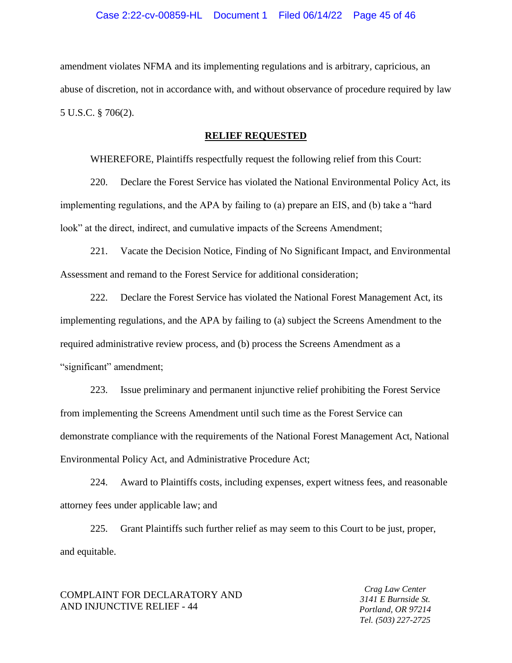amendment violates NFMA and its implementing regulations and is arbitrary, capricious, an abuse of discretion, not in accordance with, and without observance of procedure required by law 5 U.S.C. § 706(2).

#### **RELIEF REQUESTED**

WHEREFORE, Plaintiffs respectfully request the following relief from this Court:

220. Declare the Forest Service has violated the National Environmental Policy Act, its implementing regulations, and the APA by failing to (a) prepare an EIS, and (b) take a "hard look" at the direct, indirect, and cumulative impacts of the Screens Amendment;

221. Vacate the Decision Notice, Finding of No Significant Impact, and Environmental Assessment and remand to the Forest Service for additional consideration;

222. Declare the Forest Service has violated the National Forest Management Act, its implementing regulations, and the APA by failing to (a) subject the Screens Amendment to the required administrative review process, and (b) process the Screens Amendment as a "significant" amendment;

223. Issue preliminary and permanent injunctive relief prohibiting the Forest Service from implementing the Screens Amendment until such time as the Forest Service can demonstrate compliance with the requirements of the National Forest Management Act, National Environmental Policy Act, and Administrative Procedure Act;

224. Award to Plaintiffs costs, including expenses, expert witness fees, and reasonable attorney fees under applicable law; and

225. Grant Plaintiffs such further relief as may seem to this Court to be just, proper, and equitable.

## COMPLAINT FOR DECLARATORY AND AND INJUNCTIVE RELIEF - 44